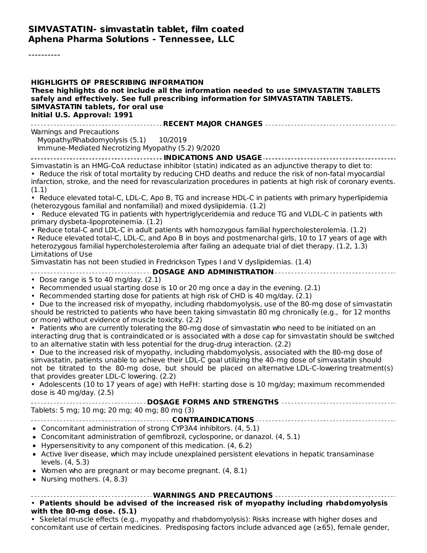----------

| <b>HIGHLIGHTS OF PRESCRIBING INFORMATION</b><br>These highlights do not include all the information needed to use SIMVASTATIN TABLETS<br>safely and effectively. See full prescribing information for SIMVASTATIN TABLETS.<br><b>SIMVASTATIN tablets, for oral use</b><br>Initial U.S. Approval: 1991                                                                                                                                                                                                                                                                                                                                                                                                                                                                                                                                                                                                                                                                                                                                                                                                                                                                                                                                                                                                               |
|---------------------------------------------------------------------------------------------------------------------------------------------------------------------------------------------------------------------------------------------------------------------------------------------------------------------------------------------------------------------------------------------------------------------------------------------------------------------------------------------------------------------------------------------------------------------------------------------------------------------------------------------------------------------------------------------------------------------------------------------------------------------------------------------------------------------------------------------------------------------------------------------------------------------------------------------------------------------------------------------------------------------------------------------------------------------------------------------------------------------------------------------------------------------------------------------------------------------------------------------------------------------------------------------------------------------|
|                                                                                                                                                                                                                                                                                                                                                                                                                                                                                                                                                                                                                                                                                                                                                                                                                                                                                                                                                                                                                                                                                                                                                                                                                                                                                                                     |
| Warnings and Precautions<br>Myopathy/Rhabdomyolysis (5.1) 10/2019<br>Immune-Mediated Necrotizing Myopathy (5.2) 9/2020                                                                                                                                                                                                                                                                                                                                                                                                                                                                                                                                                                                                                                                                                                                                                                                                                                                                                                                                                                                                                                                                                                                                                                                              |
| ------------------------------------ INDICATIONS AND USAGE --------------------<br>Simvastatin is an HMG-CoA reductase inhibitor (statin) indicated as an adjunctive therapy to diet to:<br>• Reduce the risk of total mortality by reducing CHD deaths and reduce the risk of non-fatal myocardial<br>infarction, stroke, and the need for revascularization procedures in patients at high risk of coronary events.<br>(1.1)                                                                                                                                                                                                                                                                                                                                                                                                                                                                                                                                                                                                                                                                                                                                                                                                                                                                                      |
| • Reduce elevated total-C, LDL-C, Apo B, TG and increase HDL-C in patients with primary hyperlipidemia<br>(heterozygous familial and nonfamilial) and mixed dyslipidemia. (1.2)<br>• Reduce elevated TG in patients with hypertriglyceridemia and reduce TG and VLDL-C in patients with                                                                                                                                                                                                                                                                                                                                                                                                                                                                                                                                                                                                                                                                                                                                                                                                                                                                                                                                                                                                                             |
| primary dysbeta-lipoproteinemia. (1.2)<br>. Reduce total-C and LDL-C in adult patients with homozygous familial hypercholesterolemia. (1.2)<br>• Reduce elevated total-C, LDL-C, and Apo B in boys and postmenarchal girls, 10 to 17 years of age with<br>heterozygous familial hypercholesterolemia after failing an adequate trial of diet therapy. (1.2, 1.3)<br><b>Limitations of Use</b><br>Simvastatin has not been studied in Fredrickson Types I and V dyslipidemias. (1.4)                                                                                                                                                                                                                                                                                                                                                                                                                                                                                                                                                                                                                                                                                                                                                                                                                                 |
|                                                                                                                                                                                                                                                                                                                                                                                                                                                                                                                                                                                                                                                                                                                                                                                                                                                                                                                                                                                                                                                                                                                                                                                                                                                                                                                     |
| • Dose range is 5 to 40 mg/day. (2.1)<br>• Recommended usual starting dose is 10 or 20 mg once a day in the evening. (2.1)<br>• Recommended starting dose for patients at high risk of CHD is 40 mg/day. (2.1)<br>• Due to the increased risk of myopathy, including rhabdomyolysis, use of the 80-mg dose of simvastatin<br>should be restricted to patients who have been taking simvastatin 80 mg chronically (e.g., for 12 months<br>or more) without evidence of muscle toxicity. (2.2)<br>• Patients who are currently tolerating the 80-mg dose of simvastatin who need to be initiated on an<br>interacting drug that is contraindicated or is associated with a dose cap for simvastatin should be switched<br>to an alternative statin with less potential for the drug-drug interaction. (2.2)<br>• Due to the increased risk of myopathy, including rhabdomyolysis, associated with the 80-mg dose of<br>simvastatin, patients unable to achieve their LDL-C goal utilizing the 40-mg dose of simvastatin should<br>not be titrated to the 80-mg dose, but should be placed on alternative LDL-C-lowering treatment(s)<br>that provides greater LDL-C lowering. (2.2)<br>• Adolescents (10 to 17 years of age) with HeFH: starting dose is 10 mg/day; maximum recommended<br>dose is 40 mg/day. $(2.5)$ |
|                                                                                                                                                                                                                                                                                                                                                                                                                                                                                                                                                                                                                                                                                                                                                                                                                                                                                                                                                                                                                                                                                                                                                                                                                                                                                                                     |
| Tablets: 5 mg; 10 mg; 20 mg; 40 mg; 80 mg (3)                                                                                                                                                                                                                                                                                                                                                                                                                                                                                                                                                                                                                                                                                                                                                                                                                                                                                                                                                                                                                                                                                                                                                                                                                                                                       |
| ---------------------<br>• Concomitant administration of strong CYP3A4 inhibitors. (4, 5.1)<br>• Concomitant administration of gemfibrozil, cyclosporine, or danazol. (4, 5.1)<br>• Hypersensitivity to any component of this medication. (4, 6.2)<br>• Active liver disease, which may include unexplained persistent elevations in hepatic transaminase<br>levels. (4, 5.3)<br>• Women who are pregnant or may become pregnant. (4, 8.1)<br>• Nursing mothers. (4, 8.3)                                                                                                                                                                                                                                                                                                                                                                                                                                                                                                                                                                                                                                                                                                                                                                                                                                           |
| ------------------------------- WARNINGS AND PRECAUTIONS -------------------------<br>• Patients should be advised of the increased risk of myopathy including rhabdomyolysis<br>with the 80-mg dose. $(5.1)$                                                                                                                                                                                                                                                                                                                                                                                                                                                                                                                                                                                                                                                                                                                                                                                                                                                                                                                                                                                                                                                                                                       |

• Skeletal muscle effects (e.g., myopathy and rhabdomyolysis): Risks increase with higher doses and concomitant use of certain medicines. Predisposing factors include advanced age (≥65), female gender,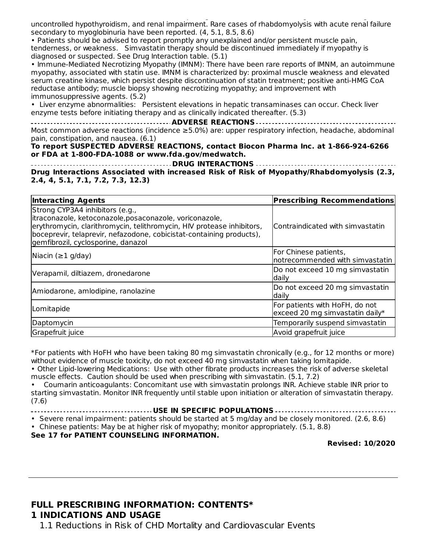concomitant use of certain medicines. Predisposing factors include advanced age (≥65), female gender, uncontrolled hypothyroidism, and renal impairment. Rare cases of rhabdomyolysis with acute renal failure secondary to myoglobinuria have been reported. (4, 5.1, 8.5, 8.6)

• Patients should be advised to report promptly any unexplained and/or persistent muscle pain, tenderness, or weakness. Simvastatin therapy should be discontinued immediately if myopathy is diagnosed or suspected. See Drug Interaction table. (5.1)

• Immune-Mediated Necrotizing Myopathy (IMNM): There have been rare reports of IMNM, an autoimmune myopathy, associated with statin use. IMNM is characterized by: proximal muscle weakness and elevated serum creatine kinase, which persist despite discontinuation of statin treatment; positive anti-HMG CoA reductase antibody; muscle biopsy showing necrotizing myopathy; and improvement with immunosuppressive agents. (5.2)

• Liver enzyme abnormalities: Persistent elevations in hepatic transaminases can occur. Check liver enzyme tests before initiating therapy and as clinically indicated thereafter. (5.3)

**ADVERSE REACTIONS** Most common adverse reactions (incidence ≥5.0%) are: upper respiratory infection, headache, abdominal

pain, constipation, and nausea. (6.1)

**To report SUSPECTED ADVERSE REACTIONS, contact Biocon Pharma Inc. at 1-866-924-6266 or FDA at 1-800-FDA-1088 or www.fda.gov/medwatch.**

**DRUG INTERACTIONS**

**Drug Interactions Associated with increased Risk of Risk of Myopathy/Rhabdomyolysis (2.3, 2.4, 4, 5.1, 7.1, 7.2, 7.3, 12.3)**

| <b>Interacting Agents</b>                                                                                                                                                                                                                                                         | <b>Prescribing Recommendations</b>                                |
|-----------------------------------------------------------------------------------------------------------------------------------------------------------------------------------------------------------------------------------------------------------------------------------|-------------------------------------------------------------------|
| Strong CYP3A4 inhibitors (e.g.,<br>litraconazole, ketoconazole,posaconazole, voriconazole,<br>erythromycin, clarithromycin, telithromycin, HIV protease inhibitors,<br>boceprevir, telaprevir, nefazodone, cobicistat-containing products),<br>gemfibrozil, cyclosporine, danazol | Contraindicated with simvastatin                                  |
| Niacin ( $\geq$ 1 g/day)                                                                                                                                                                                                                                                          | For Chinese patients,<br>notrecommended with simvastatin          |
| Verapamil, diltiazem, dronedarone                                                                                                                                                                                                                                                 | Do not exceed 10 mg simvastatin<br>daily                          |
| Amiodarone, amlodipine, ranolazine                                                                                                                                                                                                                                                | Do not exceed 20 mg simvastatin<br>daily                          |
| Lomitapide                                                                                                                                                                                                                                                                        | For patients with HoFH, do not<br>exceed 20 mg simvastatin daily* |
| Daptomycin                                                                                                                                                                                                                                                                        | Temporarily suspend simvastatin                                   |
| Grapefruit juice                                                                                                                                                                                                                                                                  | Avoid grapefruit juice                                            |

\*For patients with HoFH who have been taking 80 mg simvastatin chronically (e.g., for 12 months or more) without evidence of muscle toxicity, do not exceed 40 mg simvastatin when taking lomitapide.

• Other Lipid-lowering Medications: Use with other fibrate products increases the risk of adverse skeletal muscle effects. Caution should be used when prescribing with simvastatin. (5.1, 7.2)

• Coumarin anticoagulants: Concomitant use with simvastatin prolongs INR. Achieve stable INR prior to starting simvastatin. Monitor INR frequently until stable upon initiation or alteration of simvastatin therapy. (7.6)

**USE IN SPECIFIC POPULATIONS**

• Severe renal impairment: patients should be started at 5 mg/day and be closely monitored. (2.6, 8.6)

• Chinese patients: May be at higher risk of myopathy; monitor appropriately. (5.1, 8.8)

#### **See 17 for PATIENT COUNSELING INFORMATION.**

**Revised: 10/2020**

#### **FULL PRESCRIBING INFORMATION: CONTENTS\* 1 INDICATIONS AND USAGE**

1.1 Reductions in Risk of CHD Mortality and Cardiovascular Events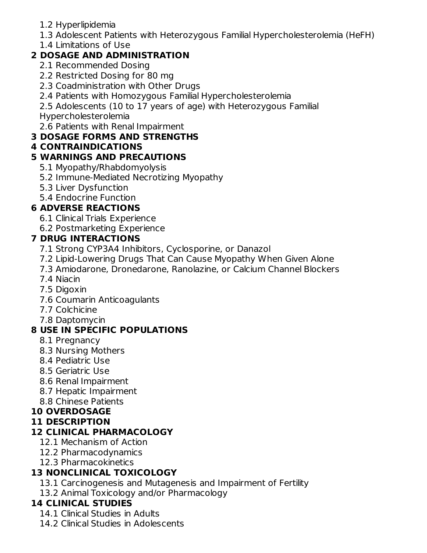- 1.2 Hyperlipidemia
- 1.3 Adolescent Patients with Heterozygous Familial Hypercholesterolemia (HeFH)
- 1.4 Limitations of Use

# **2 DOSAGE AND ADMINISTRATION**

- 2.1 Recommended Dosing
- 2.2 Restricted Dosing for 80 mg
- 2.3 Coadministration with Other Drugs
- 2.4 Patients with Homozygous Familial Hypercholesterolemia

2.5 Adolescents (10 to 17 years of age) with Heterozygous Familial

Hypercholesterolemia

2.6 Patients with Renal Impairment

# **3 DOSAGE FORMS AND STRENGTHS**

# **4 CONTRAINDICATIONS**

# **5 WARNINGS AND PRECAUTIONS**

- 5.1 Myopathy/Rhabdomyolysis
- 5.2 Immune-Mediated Necrotizing Myopathy
- 5.3 Liver Dysfunction
- 5.4 Endocrine Function

# **6 ADVERSE REACTIONS**

- 6.1 Clinical Trials Experience
- 6.2 Postmarketing Experience

# **7 DRUG INTERACTIONS**

- 7.1 Strong CYP3A4 Inhibitors, Cyclosporine, or Danazol
- 7.2 Lipid-Lowering Drugs That Can Cause Myopathy When Given Alone
- 7.3 Amiodarone, Dronedarone, Ranolazine, or Calcium Channel Blockers
- 7.4 Niacin
- 7.5 Digoxin
- 7.6 Coumarin Anticoagulants
- 7.7 Colchicine
- 7.8 Daptomycin

# **8 USE IN SPECIFIC POPULATIONS**

- 8.1 Pregnancy
- 8.3 Nursing Mothers
- 8.4 Pediatric Use
- 8.5 Geriatric Use
- 8.6 Renal Impairment
- 8.7 Hepatic Impairment
- 8.8 Chinese Patients

# **10 OVERDOSAGE**

# **11 DESCRIPTION**

# **12 CLINICAL PHARMACOLOGY**

- 12.1 Mechanism of Action
- 12.2 Pharmacodynamics
- 12.3 Pharmacokinetics

# **13 NONCLINICAL TOXICOLOGY**

- 13.1 Carcinogenesis and Mutagenesis and Impairment of Fertility
- 13.2 Animal Toxicology and/or Pharmacology

# **14 CLINICAL STUDIES**

- 14.1 Clinical Studies in Adults
- 14.2 Clinical Studies in Adolescents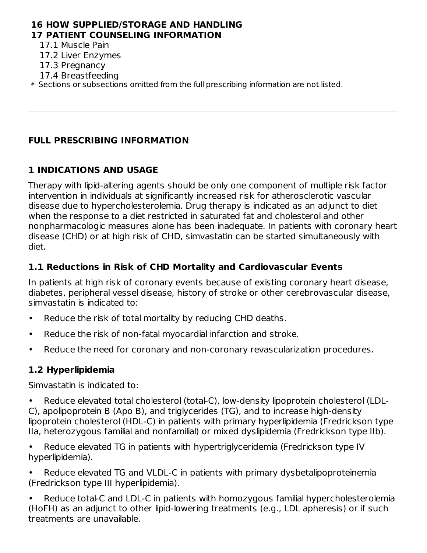#### **16 HOW SUPPLIED/STORAGE AND HANDLING 17 PATIENT COUNSELING INFORMATION**

- 17.1 Muscle Pain
- 17.2 Liver Enzymes
- 17.3 Pregnancy
- 17.4 Breastfeeding
- $\ast$  Sections or subsections omitted from the full prescribing information are not listed.

### **FULL PRESCRIBING INFORMATION**

## **1 INDICATIONS AND USAGE**

Therapy with lipid-altering agents should be only one component of multiple risk factor intervention in individuals at significantly increased risk for atherosclerotic vascular disease due to hypercholesterolemia. Drug therapy is indicated as an adjunct to diet when the response to a diet restricted in saturated fat and cholesterol and other nonpharmacologic measures alone has been inadequate. In patients with coronary heart disease (CHD) or at high risk of CHD, simvastatin can be started simultaneously with diet.

### **1.1 Reductions in Risk of CHD Mortality and Cardiovascular Events**

In patients at high risk of coronary events because of existing coronary heart disease, diabetes, peripheral vessel disease, history of stroke or other cerebrovascular disease, simvastatin is indicated to:

- Reduce the risk of total mortality by reducing CHD deaths.
- Reduce the risk of non-fatal myocardial infarction and stroke.
- Reduce the need for coronary and non-coronary revascularization procedures.

### **1.2 Hyperlipidemia**

Simvastatin is indicated to:

• Reduce elevated total cholesterol (total-C), low-density lipoprotein cholesterol (LDL-C), apolipoprotein B (Apo B), and triglycerides (TG), and to increase high-density lipoprotein cholesterol (HDL-C) in patients with primary hyperlipidemia (Fredrickson type IIa, heterozygous familial and nonfamilial) or mixed dyslipidemia (Fredrickson type IIb).

• Reduce elevated TG in patients with hypertriglyceridemia (Fredrickson type IV hyperlipidemia).

Reduce elevated TG and VLDL-C in patients with primary dysbetalipoproteinemia (Fredrickson type III hyperlipidemia).

Reduce total-C and LDL-C in patients with homozygous familial hypercholesterolemia (HoFH) as an adjunct to other lipid-lowering treatments (e.g., LDL apheresis) or if such treatments are unavailable.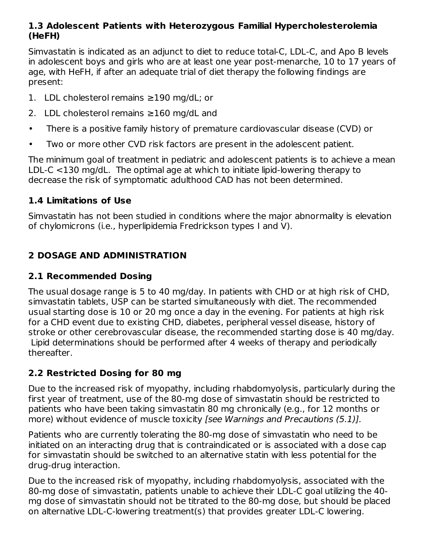### **1.3 Adolescent Patients with Heterozygous Familial Hypercholesterolemia (HeFH)**

Simvastatin is indicated as an adjunct to diet to reduce total-C, LDL-C, and Apo B levels in adolescent boys and girls who are at least one year post-menarche, 10 to 17 years of age, with HeFH, if after an adequate trial of diet therapy the following findings are present:

- 1. LDL cholesterol remains ≥190 mg/dL; or
- 2. LDL cholesterol remains  $\geq$ 160 mg/dL and
- There is a positive family history of premature cardiovascular disease (CVD) or
- Two or more other CVD risk factors are present in the adolescent patient.

The minimum goal of treatment in pediatric and adolescent patients is to achieve a mean LDL-C <130 mg/dL. The optimal age at which to initiate lipid-lowering therapy to decrease the risk of symptomatic adulthood CAD has not been determined.

### **1.4 Limitations of Use**

Simvastatin has not been studied in conditions where the major abnormality is elevation of chylomicrons (i.e., hyperlipidemia Fredrickson types I and V).

## **2 DOSAGE AND ADMINISTRATION**

### **2.1 Recommended Dosing**

The usual dosage range is 5 to 40 mg/day. In patients with CHD or at high risk of CHD, simvastatin tablets, USP can be started simultaneously with diet. The recommended usual starting dose is 10 or 20 mg once a day in the evening. For patients at high risk for a CHD event due to existing CHD, diabetes, peripheral vessel disease, history of stroke or other cerebrovascular disease, the recommended starting dose is 40 mg/day. Lipid determinations should be performed after 4 weeks of therapy and periodically thereafter.

### **2.2 Restricted Dosing for 80 mg**

Due to the increased risk of myopathy, including rhabdomyolysis, particularly during the first year of treatment, use of the 80-mg dose of simvastatin should be restricted to patients who have been taking simvastatin 80 mg chronically (e.g., for 12 months or more) without evidence of muscle toxicity [see Warnings and Precautions (5.1)].

Patients who are currently tolerating the 80-mg dose of simvastatin who need to be initiated on an interacting drug that is contraindicated or is associated with a dose cap for simvastatin should be switched to an alternative statin with less potential for the drug-drug interaction.

Due to the increased risk of myopathy, including rhabdomyolysis, associated with the 80-mg dose of simvastatin, patients unable to achieve their LDL-C goal utilizing the 40 mg dose of simvastatin should not be titrated to the 80-mg dose, but should be placed on alternative LDL-C-lowering treatment(s) that provides greater LDL-C lowering.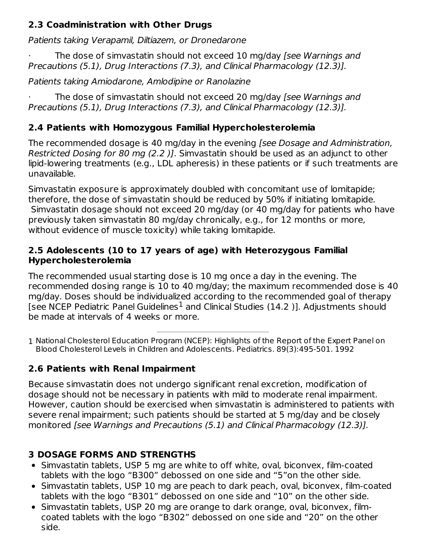### **2.3 Coadministration with Other Drugs**

Patients taking Verapamil, Diltiazem, or Dronedarone

The dose of simvastatin should not exceed 10 mg/day *[see Warnings and* Precautions (5.1), Drug Interactions (7.3), and Clinical Pharmacology (12.3)].

Patients taking Amiodarone, Amlodipine or Ranolazine

The dose of simvastatin should not exceed 20 mg/day [see Warnings and Precautions (5.1), Drug Interactions (7.3), and Clinical Pharmacology (12.3)].

# **2.4 Patients with Homozygous Familial Hypercholesterolemia**

The recommended dosage is 40 mg/day in the evening *[see Dosage and Administration.* Restricted Dosing for 80 mg (2.2)]. Simvastatin should be used as an adjunct to other lipid-lowering treatments (e.g., LDL apheresis) in these patients or if such treatments are unavailable.

Simvastatin exposure is approximately doubled with concomitant use of lomitapide; therefore, the dose of simvastatin should be reduced by 50% if initiating lomitapide. Simvastatin dosage should not exceed 20 mg/day (or 40 mg/day for patients who have previously taken simvastatin 80 mg/day chronically, e.g., for 12 months or more, without evidence of muscle toxicity) while taking lomitapide.

### **2.5 Adolescents (10 to 17 years of age) with Heterozygous Familial Hypercholesterolemia**

The recommended usual starting dose is 10 mg once a day in the evening. The recommended dosing range is 10 to 40 mg/day; the maximum recommended dose is 40 mg/day. Doses should be individualized according to the recommended goal of therapy [see NCEP Pediatric Panel Guidelines $^1$  and Clinical Studies (14.2 )]. Adjustments should be made at intervals of 4 weeks or more.

1 National Cholesterol Education Program (NCEP): Highlights of the Report of the Expert Panel on Blood Cholesterol Levels in Children and Adolescents. Pediatrics. 89(3):495-501. 1992

# **2.6 Patients with Renal Impairment**

Because simvastatin does not undergo significant renal excretion, modification of dosage should not be necessary in patients with mild to moderate renal impairment. However, caution should be exercised when simvastatin is administered to patients with severe renal impairment; such patients should be started at 5 mg/day and be closely monitored [see Warnings and Precautions (5.1) and Clinical Pharmacology (12.3)].

# **3 DOSAGE FORMS AND STRENGTHS**

- Simvastatin tablets, USP 5 mg are white to off white, oval, biconvex, film-coated tablets with the logo "B300" debossed on one side and "5"on the other side.
- Simvastatin tablets, USP 10 mg are peach to dark peach, oval, biconvex, film-coated tablets with the logo "B301" debossed on one side and "10" on the other side.
- Simvastatin tablets, USP 20 mg are orange to dark orange, oval, biconvex, filmcoated tablets with the logo "B302" debossed on one side and "20" on the other side.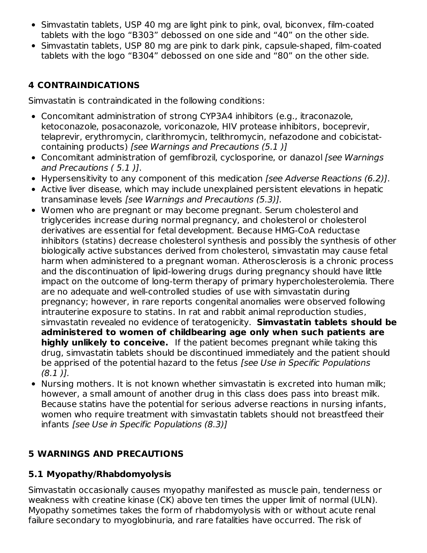- Simvastatin tablets, USP 40 mg are light pink to pink, oval, biconvex, film-coated tablets with the logo "B303" debossed on one side and "40" on the other side.
- Simvastatin tablets, USP 80 mg are pink to dark pink, capsule-shaped, film-coated tablets with the logo "B304" debossed on one side and "80" on the other side.

# **4 CONTRAINDICATIONS**

Simvastatin is contraindicated in the following conditions:

- Concomitant administration of strong CYP3A4 inhibitors (e.g., itraconazole, ketoconazole, posaconazole, voriconazole, HIV protease inhibitors, boceprevir, telaprevir, erythromycin, clarithromycin, telithromycin, nefazodone and cobicistatcontaining products) [see Warnings and Precautions (5.1 )]
- Concomitant administration of gemfibrozil, cyclosporine, or danazol [see Warnings] and Precautions ( 5.1 )].
- Hypersensitivity to any component of this medication [see Adverse Reactions (6.2)].
- Active liver disease, which may include unexplained persistent elevations in hepatic transaminase levels [see Warnings and Precautions (5.3)].
- Women who are pregnant or may become pregnant. Serum cholesterol and triglycerides increase during normal pregnancy, and cholesterol or cholesterol derivatives are essential for fetal development. Because HMG-CoA reductase inhibitors (statins) decrease cholesterol synthesis and possibly the synthesis of other biologically active substances derived from cholesterol, simvastatin may cause fetal harm when administered to a pregnant woman. Atherosclerosis is a chronic process and the discontinuation of lipid-lowering drugs during pregnancy should have little impact on the outcome of long-term therapy of primary hypercholesterolemia. There are no adequate and well-controlled studies of use with simvastatin during pregnancy; however, in rare reports congenital anomalies were observed following intrauterine exposure to statins. In rat and rabbit animal reproduction studies, simvastatin revealed no evidence of teratogenicity. **Simvastatin tablets should be administered to women of childbearing age only when such patients are highly unlikely to conceive.** If the patient becomes pregnant while taking this drug, simvastatin tablets should be discontinued immediately and the patient should be apprised of the potential hazard to the fetus [see Use in Specific Populations (8.1 )].
- Nursing mothers. It is not known whether simvastatin is excreted into human milk; however, a small amount of another drug in this class does pass into breast milk. Because statins have the potential for serious adverse reactions in nursing infants, women who require treatment with simvastatin tablets should not breastfeed their infants [see Use in Specific Populations (8.3)]

# **5 WARNINGS AND PRECAUTIONS**

### **5.1 Myopathy/Rhabdomyolysis**

Simvastatin occasionally causes myopathy manifested as muscle pain, tenderness or weakness with creatine kinase (CK) above ten times the upper limit of normal (ULN). Myopathy sometimes takes the form of rhabdomyolysis with or without acute renal failure secondary to myoglobinuria, and rare fatalities have occurred. The risk of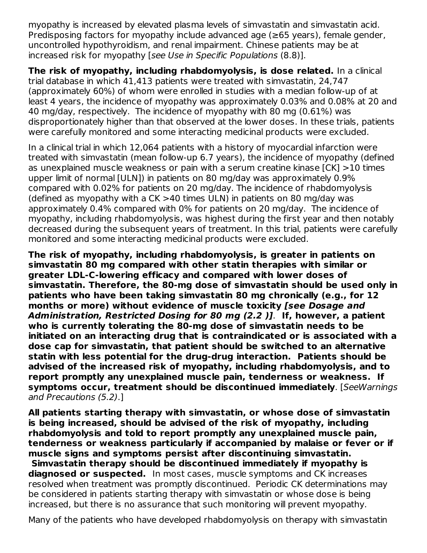myopathy is increased by elevated plasma levels of simvastatin and simvastatin acid. Predisposing factors for myopathy include advanced age (≥65 years), female gender, uncontrolled hypothyroidism, and renal impairment. Chinese patients may be at increased risk for myopathy [see Use in Specific Populations (8.8)].

**The risk of myopathy, including rhabdomyolysis, is dose related.** In a clinical trial database in which 41,413 patients were treated with simvastatin, 24,747 (approximately 60%) of whom were enrolled in studies with a median follow-up of at least 4 years, the incidence of myopathy was approximately 0.03% and 0.08% at 20 and 40 mg/day, respectively. The incidence of myopathy with 80 mg (0.61%) was disproportionately higher than that observed at the lower doses. In these trials, patients were carefully monitored and some interacting medicinal products were excluded.

In a clinical trial in which 12,064 patients with a history of myocardial infarction were treated with simvastatin (mean follow-up 6.7 years), the incidence of myopathy (defined as unexplained muscle weakness or pain with a serum creatine kinase [CK] >10 times upper limit of normal [ULN]) in patients on 80 mg/day was approximately 0.9% compared with 0.02% for patients on 20 mg/day. The incidence of rhabdomyolysis (defined as myopathy with a CK >40 times ULN) in patients on 80 mg/day was approximately 0.4% compared with 0% for patients on 20 mg/day. The incidence of myopathy, including rhabdomyolysis, was highest during the first year and then notably decreased during the subsequent years of treatment. In this trial, patients were carefully monitored and some interacting medicinal products were excluded.

**The risk of myopathy, including rhabdomyolysis, is greater in patients on simvastatin 80 mg compared with other statin therapies with similar or greater LDL-C-lowering efficacy and compared with lower doses of simvastatin. Therefore, the 80-mg dose of simvastatin should be used only in patients who have been taking simvastatin 80 mg chronically (e.g., for 12 months or more) without evidence of muscle toxicity [see Dosage and Administration, Restricted Dosing for 80 mg (2.2 )]**. **If, however, a patient who is currently tolerating the 80-mg dose of simvastatin needs to be initiated on an interacting drug that is contraindicated or is associated with a dose cap for simvastatin, that patient should be switched to an alternative statin with less potential for the drug-drug interaction. Patients should be advised of the increased risk of myopathy, including rhabdomyolysis, and to report promptly any unexplained muscle pain, tenderness or weakness. If symptoms occur, treatment should be discontinued immediately**. [SeeWarnings and Precautions (5.2).]

**All patients starting therapy with simvastatin, or whose dose of simvastatin is being increased, should be advised of the risk of myopathy, including rhabdomyolysis and told to report promptly any unexplained muscle pain, tenderness or weakness particularly if accompanied by malaise or fever or if muscle signs and symptoms persist after discontinuing simvastatin. Simvastatin therapy should be discontinued immediately if myopathy is diagnosed or suspected.** In most cases, muscle symptoms and CK increases resolved when treatment was promptly discontinued. Periodic CK determinations may be considered in patients starting therapy with simvastatin or whose dose is being increased, but there is no assurance that such monitoring will prevent myopathy.

Many of the patients who have developed rhabdomyolysis on therapy with simvastatin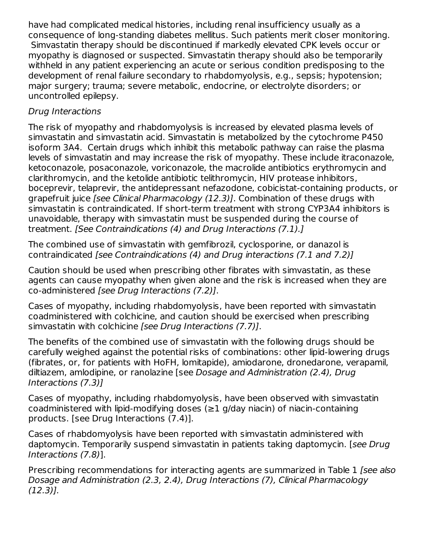have had complicated medical histories, including renal insufficiency usually as a consequence of long-standing diabetes mellitus. Such patients merit closer monitoring. Simvastatin therapy should be discontinued if markedly elevated CPK levels occur or myopathy is diagnosed or suspected. Simvastatin therapy should also be temporarily withheld in any patient experiencing an acute or serious condition predisposing to the development of renal failure secondary to rhabdomyolysis, e.g., sepsis; hypotension; major surgery; trauma; severe metabolic, endocrine, or electrolyte disorders; or uncontrolled epilepsy.

### Drug Interactions

The risk of myopathy and rhabdomyolysis is increased by elevated plasma levels of simvastatin and simvastatin acid. Simvastatin is metabolized by the cytochrome P450 isoform 3A4. Certain drugs which inhibit this metabolic pathway can raise the plasma levels of simvastatin and may increase the risk of myopathy. These include itraconazole, ketoconazole, posaconazole, voriconazole, the macrolide antibiotics erythromycin and clarithromycin, and the ketolide antibiotic telithromycin, HIV protease inhibitors, boceprevir, telaprevir, the antidepressant nefazodone, cobicistat-containing products, or grapefruit juice [see Clinical Pharmacology (12.3)]. Combination of these drugs with simvastatin is contraindicated. If short-term treatment with strong CYP3A4 inhibitors is unavoidable, therapy with simvastatin must be suspended during the course of treatment. [See Contraindications (4) and Drug Interactions (7.1).]

The combined use of simvastatin with gemfibrozil, cyclosporine, or danazol is contraindicated [see Contraindications (4) and Drug interactions (7.1 and 7.2)]

Caution should be used when prescribing other fibrates with simvastatin, as these agents can cause myopathy when given alone and the risk is increased when they are co-administered [see Drug Interactions (7.2)].

Cases of myopathy, including rhabdomyolysis, have been reported with simvastatin coadministered with colchicine, and caution should be exercised when prescribing simvastatin with colchicine [see Drug Interactions (7.7)].

The benefits of the combined use of simvastatin with the following drugs should be carefully weighed against the potential risks of combinations: other lipid-lowering drugs (fibrates, or, for patients with HoFH, lomitapide), amiodarone, dronedarone, verapamil, diltiazem, amlodipine, or ranolazine [see Dosage and Administration (2.4), Drug Interactions (7.3)]

Cases of myopathy, including rhabdomyolysis, have been observed with simvastatin coadministered with lipid-modifying doses  $(\geq 1)$  g/day niacin) of niacin-containing products. [see Drug Interactions (7.4)].

Cases of rhabdomyolysis have been reported with simvastatin administered with daptomycin. Temporarily suspend simvastatin in patients taking daptomycin. [see Drug] Interactions (7.8)].

Prescribing recommendations for interacting agents are summarized in Table 1 [see also Dosage and Administration (2.3, 2.4), Drug Interactions (7), Clinical Pharmacology  $(12.3)$ ].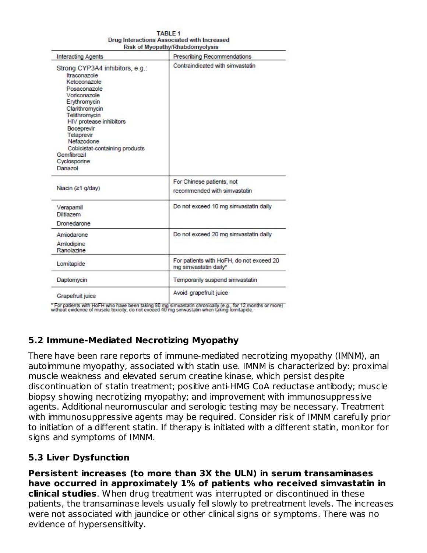| <b>Interacting Agents</b>                                                                                                                                                                                                                                                                                  | Prescribing Recommendations                                       |  |  |
|------------------------------------------------------------------------------------------------------------------------------------------------------------------------------------------------------------------------------------------------------------------------------------------------------------|-------------------------------------------------------------------|--|--|
| Strong CYP3A4 inhibitors, e.g.:<br>Itraconazole<br>Ketoconazole<br>Posaconazole<br>Voriconazole<br>Erythromycin<br>Clarithromycin<br>Telithromycin<br>HIV protease inhibitors<br><b>Boceprevir</b><br>Telaprevir<br>Nefazodone<br>Cobicistat-containing products<br>Gemfibrozil<br>Cyclosporine<br>Danazol | Contraindicated with simvastatin                                  |  |  |
| Niacin (≥1 g/day)                                                                                                                                                                                                                                                                                          | For Chinese patients, not<br>recommended with simvastatin         |  |  |
| Verapamil<br>Diltiazem<br>Dronedarone                                                                                                                                                                                                                                                                      | Do not exceed 10 mg simvastatin daily                             |  |  |
| Amiodarone<br>Amlodipine<br>Ranolazine                                                                                                                                                                                                                                                                     | Do not exceed 20 mg simvastatin daily                             |  |  |
| Lomitapide                                                                                                                                                                                                                                                                                                 | For patients with HoFH, do not exceed 20<br>mg simvastatin daily* |  |  |
| Daptomycin                                                                                                                                                                                                                                                                                                 | Temporarily suspend simvastatin                                   |  |  |
| Grapefruit juice                                                                                                                                                                                                                                                                                           | Avoid grapefruit juice                                            |  |  |

TABLE<sub>1</sub> Drug Interactions Associated with Increased

" For patients with HoFH who have been taking 80 mg simvastatin chronically (e.g., for 12 months or more).<br>without evidence of muscle toxicity, do not exceed 40 mg simvastatin when taking lomitapide.

### **5.2 Immune-Mediated Necrotizing Myopathy**

There have been rare reports of immune-mediated necrotizing myopathy (IMNM), an autoimmune myopathy, associated with statin use. IMNM is characterized by: proximal muscle weakness and elevated serum creatine kinase, which persist despite discontinuation of statin treatment; positive anti-HMG CoA reductase antibody; muscle biopsy showing necrotizing myopathy; and improvement with immunosuppressive agents. Additional neuromuscular and serologic testing may be necessary. Treatment with immunosuppressive agents may be required. Consider risk of IMNM carefully prior to initiation of a different statin. If therapy is initiated with a different statin, monitor for signs and symptoms of IMNM.

### **5.3 Liver Dysfunction**

**Persistent increases (to more than 3X the ULN) in serum transaminases have occurred in approximately 1% of patients who received simvastatin in clinical studies**. When drug treatment was interrupted or discontinued in these patients, the transaminase levels usually fell slowly to pretreatment levels. The increases were not associated with jaundice or other clinical signs or symptoms. There was no evidence of hypersensitivity.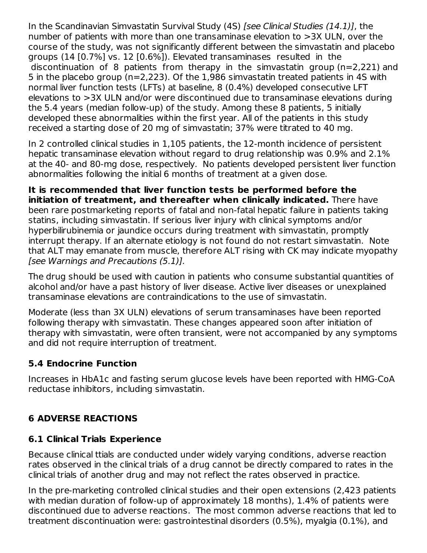In the Scandinavian Simvastatin Survival Study (4S) [see Clinical Studies (14.1)], the number of patients with more than one transaminase elevation to >3X ULN, over the course of the study, was not significantly different between the simvastatin and placebo groups (14 [0.7%] vs. 12 [0.6%]). Elevated transaminases resulted in the discontinuation of 8 patients from therapy in the simvastatin group (n=2,221) and 5 in the placebo group (n=2,223). Of the 1,986 simvastatin treated patients in 4S with normal liver function tests (LFTs) at baseline, 8 (0.4%) developed consecutive LFT elevations to >3X ULN and/or were discontinued due to transaminase elevations during the 5.4 years (median follow-up) of the study. Among these 8 patients, 5 initially developed these abnormalities within the first year. All of the patients in this study received a starting dose of 20 mg of simvastatin; 37% were titrated to 40 mg.

In 2 controlled clinical studies in 1,105 patients, the 12-month incidence of persistent hepatic transaminase elevation without regard to drug relationship was 0.9% and 2.1% at the 40- and 80-mg dose, respectively. No patients developed persistent liver function abnormalities following the initial 6 months of treatment at a given dose.

**It is recommended that liver function tests be performed before the initiation of treatment, and thereafter when clinically indicated.** There have been rare postmarketing reports of fatal and non-fatal hepatic failure in patients taking statins, including simvastatin. If serious liver injury with clinical symptoms and/or hyperbilirubinemia or jaundice occurs during treatment with simvastatin, promptly interrupt therapy. If an alternate etiology is not found do not restart simvastatin. Note that ALT may emanate from muscle, therefore ALT rising with CK may indicate myopathy [see Warnings and Precautions (5.1)].

The drug should be used with caution in patients who consume substantial quantities of alcohol and/or have a past history of liver disease. Active liver diseases or unexplained transaminase elevations are contraindications to the use of simvastatin.

Moderate (less than 3X ULN) elevations of serum transaminases have been reported following therapy with simvastatin. These changes appeared soon after initiation of therapy with simvastatin, were often transient, were not accompanied by any symptoms and did not require interruption of treatment.

### **5.4 Endocrine Function**

Increases in HbA1c and fasting serum glucose levels have been reported with HMG-CoA reductase inhibitors, including simvastatin.

# **6 ADVERSE REACTIONS**

### **6.1 Clinical Trials Experience**

Because clinical ttials are conducted under widely varying conditions, adverse reaction rates observed in the clinical trials of a drug cannot be directly compared to rates in the clinical trials of another drug and may not reflect the rates observed in practice.

In the pre-marketing controlled clinical studies and their open extensions (2,423 patients with median duration of follow-up of approximately 18 months), 1.4% of patients were discontinued due to adverse reactions. The most common adverse reactions that led to treatment discontinuation were: gastrointestinal disorders (0.5%), myalgia (0.1%), and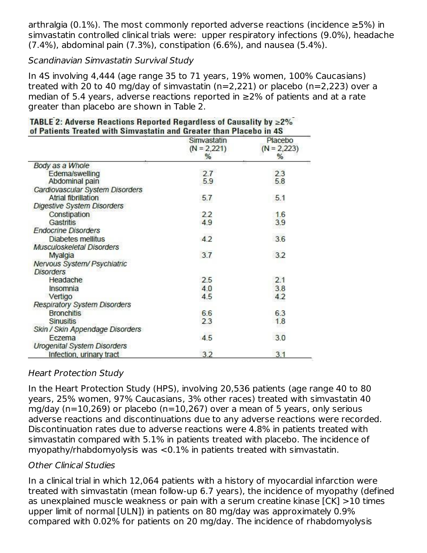arthralgia (0.1%). The most commonly reported adverse reactions (incidence  $\geq$ 5%) in simvastatin controlled clinical trials were: upper respiratory infections (9.0%), headache (7.4%), abdominal pain (7.3%), constipation (6.6%), and nausea (5.4%).

### Scandinavian Simvastatin Survival Study

In 4S involving 4,444 (age range 35 to 71 years, 19% women, 100% Caucasians) treated with 20 to 40 mg/day of simvastatin (n=2,221) or placebo (n=2,223) over a median of 5.4 years, adverse reactions reported in ≥2% of patients and at a rate greater than placebo are shown in Table 2.

|                                     | Simvastatin<br>$(N = 2,221)$<br>% | Placebo<br>$(N = 2,223)$<br>$\%$ |
|-------------------------------------|-----------------------------------|----------------------------------|
| Body as a Whole                     |                                   |                                  |
| Edema/swelling                      | 2.7                               | 2.3                              |
| Abdominal pain                      | 5.9                               | 5.8                              |
| Cardiovascular System Disorders     |                                   |                                  |
| <b>Atrial fibrillation</b>          | 5.7                               | 5.1                              |
| <b>Digestive System Disorders</b>   |                                   |                                  |
| Constipation                        | 22                                | 1.6                              |
| <b>Gastritis</b>                    | 4.9                               | 3.9                              |
| <b>Endocrine Disorders</b>          |                                   |                                  |
| Diabetes mellitus                   | 4.2                               | 3.6                              |
| Musculoskeletal Disorders           |                                   |                                  |
| Myalgia                             | 3.7                               | 3.2                              |
| Nervous System/ Psychiatric         |                                   |                                  |
| <b>Disorders</b>                    |                                   |                                  |
| Headache                            | 2.5                               | 2.1                              |
| Insomnia                            | 4.0                               | 3.8                              |
| Vertigo                             | 4.5                               | 4.2                              |
| <b>Respiratory System Disorders</b> |                                   |                                  |
| <b>Bronchitis</b>                   | 6.6                               | 6.3                              |
| <b>Sinusitis</b>                    | 2.3                               | 1.8                              |
| Skin / Skin Appendage Disorders     |                                   |                                  |
| Eczema                              | 4.5                               | 3.0                              |
| <b>Urogenital System Disorders</b>  |                                   |                                  |
| Infection, urinary tract            | 3.2                               | 3.1                              |

#### TABLE 2: Adverse Reactions Reported Regardless of Causality by  $\geq$ 2% of Petients Treated with Simuscratin and Creater than Placeho in AS

### Heart Protection Study

In the Heart Protection Study (HPS), involving 20,536 patients (age range 40 to 80 years, 25% women, 97% Caucasians, 3% other races) treated with simvastatin 40 mg/day (n=10,269) or placebo (n=10,267) over a mean of 5 years, only serious adverse reactions and discontinuations due to any adverse reactions were recorded. Discontinuation rates due to adverse reactions were 4.8% in patients treated with simvastatin compared with 5.1% in patients treated with placebo. The incidence of myopathy/rhabdomyolysis was <0.1% in patients treated with simvastatin.

### Other Clinical Studies

In a clinical trial in which 12,064 patients with a history of myocardial infarction were treated with simvastatin (mean follow-up 6.7 years), the incidence of myopathy (defined as unexplained muscle weakness or pain with a serum creatine kinase [CK] >10 times upper limit of normal [ULN]) in patients on 80 mg/day was approximately 0.9% compared with 0.02% for patients on 20 mg/day. The incidence of rhabdomyolysis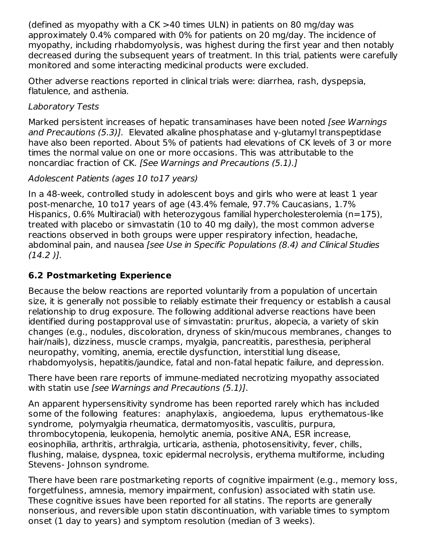(defined as myopathy with a  $CK > 40$  times ULN) in patients on 80 mg/day was approximately 0.4% compared with 0% for patients on 20 mg/day. The incidence of myopathy, including rhabdomyolysis, was highest during the first year and then notably decreased during the subsequent years of treatment. In this trial, patients were carefully monitored and some interacting medicinal products were excluded.

Other adverse reactions reported in clinical trials were: diarrhea, rash, dyspepsia, flatulence, and asthenia.

## Laboratory Tests

Marked persistent increases of hepatic transaminases have been noted [see Warnings] and Precautions (5.3)]. Elevated alkaline phosphatase and y-glutamyl transpeptidase have also been reported. About 5% of patients had elevations of CK levels of 3 or more times the normal value on one or more occasions. This was attributable to the noncardiac fraction of CK. [See Warnings and Precautions (5.1).]

### Adolescent Patients (ages 10 to17 years)

In a 48-week, controlled study in adolescent boys and girls who were at least 1 year post-menarche, 10 to17 years of age (43.4% female, 97.7% Caucasians, 1.7% Hispanics, 0.6% Multiracial) with heterozygous familial hypercholesterolemia (n=175), treated with placebo or simvastatin (10 to 40 mg daily), the most common adverse reactions observed in both groups were upper respiratory infection, headache, abdominal pain, and nausea [see Use in Specific Populations (8.4) and Clinical Studies  $(14.2)$ ].

# **6.2 Postmarketing Experience**

Because the below reactions are reported voluntarily from a population of uncertain size, it is generally not possible to reliably estimate their frequency or establish a causal relationship to drug exposure. The following additional adverse reactions have been identified during postapproval use of simvastatin: pruritus, alopecia, a variety of skin changes (e.g., nodules, discoloration, dryness of skin/mucous membranes, changes to hair/nails), dizziness, muscle cramps, myalgia, pancreatitis, paresthesia, peripheral neuropathy, vomiting, anemia, erectile dysfunction, interstitial lung disease, rhabdomyolysis, hepatitis/jaundice, fatal and non-fatal hepatic failure, and depression.

There have been rare reports of immune-mediated necrotizing myopathy associated with statin use [see Warnings and Precautions (5.1)].

An apparent hypersensitivity syndrome has been reported rarely which has included some of the following features: anaphylaxis, angioedema, lupus erythematous-like syndrome, polymyalgia rheumatica, dermatomyositis, vasculitis, purpura, thrombocytopenia, leukopenia, hemolytic anemia, positive ANA, ESR increase, eosinophilia, arthritis, arthralgia, urticaria, asthenia, photosensitivity, fever, chills, flushing, malaise, dyspnea, toxic epidermal necrolysis, erythema multiforme, including Stevens- Johnson syndrome.

There have been rare postmarketing reports of cognitive impairment (e.g., memory loss, forgetfulness, amnesia, memory impairment, confusion) associated with statin use. These cognitive issues have been reported for all statins. The reports are generally nonserious, and reversible upon statin discontinuation, with variable times to symptom onset (1 day to years) and symptom resolution (median of 3 weeks).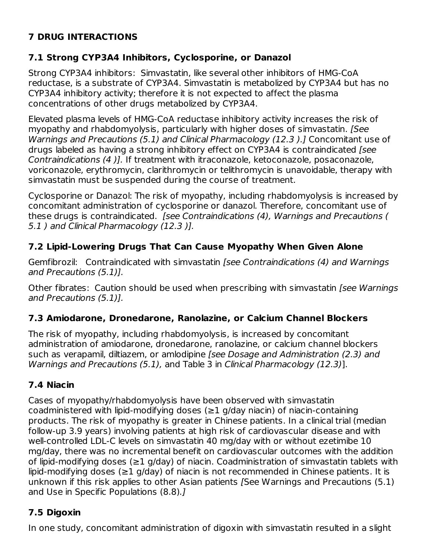# **7 DRUG INTERACTIONS**

# **7.1 Strong CYP3A4 Inhibitors, Cyclosporine, or Danazol**

Strong CYP3A4 inhibitors: Simvastatin, like several other inhibitors of HMG-CoA reductase, is a substrate of CYP3A4. Simvastatin is metabolized by CYP3A4 but has no CYP3A4 inhibitory activity; therefore it is not expected to affect the plasma concentrations of other drugs metabolized by CYP3A4.

Elevated plasma levels of HMG-CoA reductase inhibitory activity increases the risk of myopathy and rhabdomyolysis, particularly with higher doses of simvastatin. [See Warnings and Precautions (5.1) and Clinical Pharmacology (12.3). Concomitant use of drugs labeled as having a strong inhibitory effect on CYP3A4 is contraindicated [see Contraindications (4 )]. If treatment with itraconazole, ketoconazole, posaconazole, voriconazole, erythromycin, clarithromycin or telithromycin is unavoidable, therapy with simvastatin must be suspended during the course of treatment.

Cyclosporine or Danazol: The risk of myopathy, including rhabdomyolysis is increased by concomitant administration of cyclosporine or danazol. Therefore, concomitant use of these drugs is contraindicated. *[see Contraindications (4), Warnings and Precautions (* 5.1 ) and Clinical Pharmacology (12.3 )].

# **7.2 Lipid-Lowering Drugs That Can Cause Myopathy When Given Alone**

Gemfibrozil: Contraindicated with simvastatin [see Contraindications (4) and Warnings and Precautions (5.1)].

Other fibrates: Caution should be used when prescribing with simvastatin [see Warnings] and Precautions (5.1)].

# **7.3 Amiodarone, Dronedarone, Ranolazine, or Calcium Channel Blockers**

The risk of myopathy, including rhabdomyolysis, is increased by concomitant administration of amiodarone, dronedarone, ranolazine, or calcium channel blockers such as verapamil, diltiazem, or amlodipine [see Dosage and Administration (2.3) and Warnings and Precautions (5.1), and Table 3 in Clinical Pharmacology (12.3)].

# **7.4 Niacin**

Cases of myopathy/rhabdomyolysis have been observed with simvastatin coadministered with lipid-modifying doses  $(\geq 1)$  g/day niacin) of niacin-containing products. The risk of myopathy is greater in Chinese patients. In a clinical trial (median follow-up 3.9 years) involving patients at high risk of cardiovascular disease and with well-controlled LDL-C levels on simvastatin 40 mg/day with or without ezetimibe 10 mg/day, there was no incremental benefit on cardiovascular outcomes with the addition of lipid-modifying doses (≥1 g/day) of niacin. Coadministration of simvastatin tablets with lipid-modifying doses (≥1 g/day) of niacin is not recommended in Chinese patients. It is unknown if this risk applies to other Asian patients [See Warnings and Precautions (5.1) and Use in Specific Populations (8.8).]

# **7.5 Digoxin**

In one study, concomitant administration of digoxin with simvastatin resulted in a slight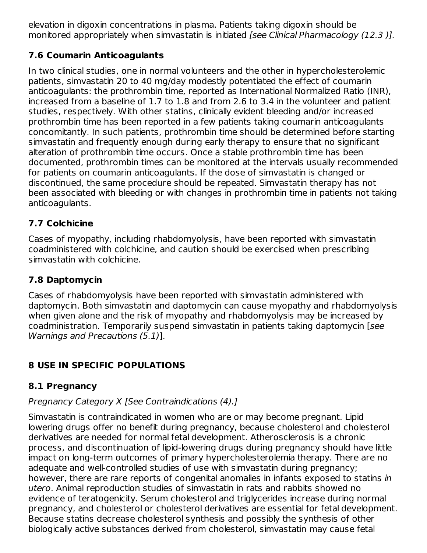elevation in digoxin concentrations in plasma. Patients taking digoxin should be monitored appropriately when simvastatin is initiated [see Clinical Pharmacology (12.3 )].

### **7.6 Coumarin Anticoagulants**

In two clinical studies, one in normal volunteers and the other in hypercholesterolemic patients, simvastatin 20 to 40 mg/day modestly potentiated the effect of coumarin anticoagulants: the prothrombin time, reported as International Normalized Ratio (INR), increased from a baseline of 1.7 to 1.8 and from 2.6 to 3.4 in the volunteer and patient studies, respectively. With other statins, clinically evident bleeding and/or increased prothrombin time has been reported in a few patients taking coumarin anticoagulants concomitantly. In such patients, prothrombin time should be determined before starting simvastatin and frequently enough during early therapy to ensure that no significant alteration of prothrombin time occurs. Once a stable prothrombin time has been documented, prothrombin times can be monitored at the intervals usually recommended for patients on coumarin anticoagulants. If the dose of simvastatin is changed or discontinued, the same procedure should be repeated. Simvastatin therapy has not been associated with bleeding or with changes in prothrombin time in patients not taking anticoagulants.

# **7.7 Colchicine**

Cases of myopathy, including rhabdomyolysis, have been reported with simvastatin coadministered with colchicine, and caution should be exercised when prescribing simvastatin with colchicine.

# **7.8 Daptomycin**

Cases of rhabdomyolysis have been reported with simvastatin administered with daptomycin. Both simvastatin and daptomycin can cause myopathy and rhabdomyolysis when given alone and the risk of myopathy and rhabdomyolysis may be increased by coadministration. Temporarily suspend simvastatin in patients taking daptomycin [see Warnings and Precautions (5.1)].

# **8 USE IN SPECIFIC POPULATIONS**

# **8.1 Pregnancy**

# Pregnancy Category X [See Contraindications (4).]

Simvastatin is contraindicated in women who are or may become pregnant. Lipid lowering drugs offer no benefit during pregnancy, because cholesterol and cholesterol derivatives are needed for normal fetal development. Atherosclerosis is a chronic process, and discontinuation of lipid-lowering drugs during pregnancy should have little impact on long-term outcomes of primary hypercholesterolemia therapy. There are no adequate and well-controlled studies of use with simvastatin during pregnancy; however, there are rare reports of congenital anomalies in infants exposed to statins in utero. Animal reproduction studies of simvastatin in rats and rabbits showed no evidence of teratogenicity. Serum cholesterol and triglycerides increase during normal pregnancy, and cholesterol or cholesterol derivatives are essential for fetal development. Because statins decrease cholesterol synthesis and possibly the synthesis of other biologically active substances derived from cholesterol, simvastatin may cause fetal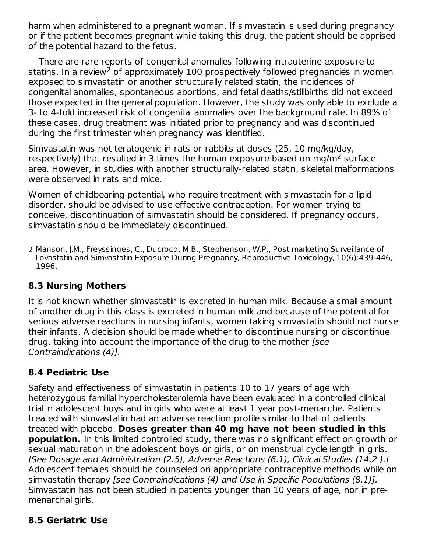biologically active substances derived from cholesterol, simvastatin may cause fetal harm when administered to a pregnant woman. If simvastatin is used during pregnancy or if the patient becomes pregnant while taking this drug, the patient should be apprised of the potential hazard to the fetus.

There are rare reports of congenital anomalies following intrauterine exposure to statins. In a review<sup>2</sup> of approximately  $100$  prospectively followed pregnancies in women exposed to simvastatin or another structurally related statin, the incidences of congenital anomalies, spontaneous abortions, and fetal deaths/stillbirths did not exceed those expected in the general population. However, the study was only able to exclude a 3- to 4-fold increased risk of congenital anomalies over the background rate. In 89% of these cases, drug treatment was initiated prior to pregnancy and was discontinued during the first trimester when pregnancy was identified.

Simvastatin was not teratogenic in rats or rabbits at doses (25, 10 mg/kg/day, respectively) that resulted in 3 times the human exposure based on mg/m<sup>2</sup> surface area. However, in studies with another structurally-related statin, skeletal malformations were observed in rats and mice.

Women of childbearing potential, who require treatment with simvastatin for a lipid disorder, should be advised to use effective contraception. For women trying to conceive, discontinuation of simvastatin should be considered. If pregnancy occurs, simvastatin should be immediately discontinued.

2 Manson, J.M., Freyssinges, C., Ducrocq, M.B., Stephenson, W.P., Post marketing Surveillance of Lovastatin and Simvastatin Exposure During Pregnancy, Reproductive Toxicology, 10(6):439-446, 1996.

### **8.3 Nursing Mothers**

It is not known whether simvastatin is excreted in human milk. Because a small amount of another drug in this class is excreted in human milk and because of the potential for serious adverse reactions in nursing infants, women taking simvastatin should not nurse their infants. A decision should be made whether to discontinue nursing or discontinue drug, taking into account the importance of the drug to the mother [see Contraindications (4)].

### **8.4 Pediatric Use**

Safety and effectiveness of simvastatin in patients 10 to 17 years of age with heterozygous familial hypercholesterolemia have been evaluated in a controlled clinical trial in adolescent boys and in girls who were at least 1 year post-menarche. Patients treated with simvastatin had an adverse reaction profile similar to that of patients treated with placebo. **Doses greater than 40 mg have not been studied in this population.** In this limited controlled study, there was no significant effect on growth or sexual maturation in the adolescent boys or girls, or on menstrual cycle length in girls. [See Dosage and Administration (2.5), Adverse Reactions (6.1), Clinical Studies (14.2 ).] Adolescent females should be counseled on appropriate contraceptive methods while on simvastatin therapy [see Contraindications (4) and Use in Specific Populations (8.1)]. Simvastatin has not been studied in patients younger than 10 years of age, nor in premenarchal girls.

### **8.5 Geriatric Use**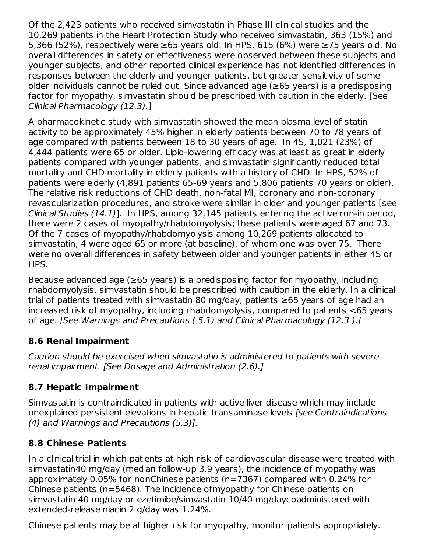Of the 2,423 patients who received simvastatin in Phase III clinical studies and the 10,269 patients in the Heart Protection Study who received simvastatin, 363 (15%) and 5,366 (52%), respectively were  $\geq$ 65 years old. In HPS, 615 (6%) were  $\geq$ 75 years old. No overall differences in safety or effectiveness were observed between these subjects and younger subjects, and other reported clinical experience has not identified differences in responses between the elderly and younger patients, but greater sensitivity of some older individuals cannot be ruled out. Since advanced age (≥65 years) is a predisposing factor for myopathy, simvastatin should be prescribed with caution in the elderly. [See Clinical Pharmacology (12.3).]

A pharmacokinetic study with simvastatin showed the mean plasma level of statin activity to be approximately 45% higher in elderly patients between 70 to 78 years of age compared with patients between 18 to 30 years of age. In 4S, 1,021 (23%) of 4,444 patients were 65 or older. Lipid-lowering efficacy was at least as great in elderly patients compared with younger patients, and simvastatin significantly reduced total mortality and CHD mortality in elderly patients with a history of CHD. In HPS, 52% of patients were elderly (4,891 patients 65-69 years and 5,806 patients 70 years or older). The relative risk reductions of CHD death, non-fatal MI, coronary and non-coronary revascularization procedures, and stroke were similar in older and younger patients [see Clinical Studies (14.1)]. In HPS, among 32,145 patients entering the active run-in period, there were 2 cases of myopathy/rhabdomyolysis; these patients were aged 67 and 73. Of the 7 cases of myopathy/rhabdomyolysis among 10,269 patients allocated to simvastatin, 4 were aged 65 or more (at baseline), of whom one was over 75. There were no overall differences in safety between older and younger patients in either 4S or HPS.

Because advanced age ( $\geq 65$  years) is a predisposing factor for myopathy, including rhabdomyolysis, simvastatin should be prescribed with caution in the elderly. In a clinical trial of patients treated with simvastatin 80 mg/day, patients ≥65 years of age had an increased risk of myopathy, including rhabdomyolysis, compared to patients <65 years of age. [See Warnings and Precautions ( 5.1) and Clinical Pharmacology (12.3 ).]

### **8.6 Renal Impairment**

Caution should be exercised when simvastatin is administered to patients with severe renal impairment. [See Dosage and Administration (2.6).]

# **8.7 Hepatic Impairment**

Simvastatin is contraindicated in patients with active liver disease which may include unexplained persistent elevations in hepatic transaminase levels [see Contraindications (4) and Warnings and Precautions (5.3)].

# **8.8 Chinese Patients**

In a clinical trial in which patients at high risk of cardiovascular disease were treated with simvastatin40 mg/day (median follow-up 3.9 years), the incidence of myopathy was approximately 0.05% for nonChinese patients (n=7367) compared with 0.24% for Chinese patients (n=5468). The incidence ofmyopathy for Chinese patients on simvastatin 40 mg/day or ezetimibe/simvastatin 10/40 mg/daycoadministered with extended-release niacin 2 g/day was 1.24%.

Chinese patients may be at higher risk for myopathy, monitor patients appropriately.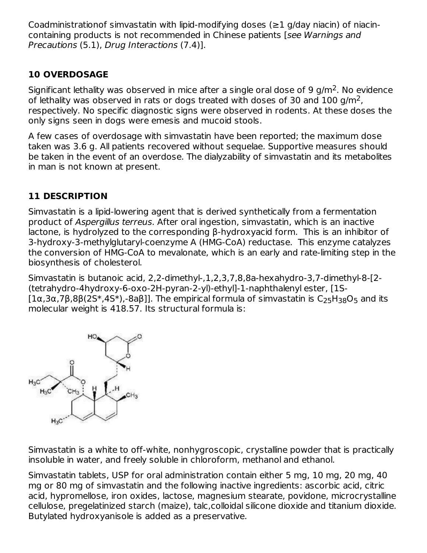Coadministrationof simvastatin with lipid-modifying doses ( $\geq 1$  g/day niacin) of niacincontaining products is not recommended in Chinese patients [see Warnings and Precautions (5.1), Drug Interactions (7.4)].

# **10 OVERDOSAGE**

Significant lethality was observed in mice after a single oral dose of 9 g/m<sup>2</sup>. No evidence of lethality was observed in rats or dogs treated with doses of 30 and  $100$  g/m<sup>2</sup>, respectively. No specific diagnostic signs were observed in rodents. At these doses the only signs seen in dogs were emesis and mucoid stools.

A few cases of overdosage with simvastatin have been reported; the maximum dose taken was 3.6 g. All patients recovered without sequelae. Supportive measures should be taken in the event of an overdose. The dialyzability of simvastatin and its metabolites in man is not known at present.

# **11 DESCRIPTION**

Simvastatin is a lipid-lowering agent that is derived synthetically from a fermentation product of Aspergillus terreus. After oral ingestion, simvastatin, which is an inactive lactone, is hydrolyzed to the corresponding β-hydroxyacid form. This is an inhibitor of 3-hydroxy-3-methylglutaryl-coenzyme A (HMG-CoA) reductase. This enzyme catalyzes the conversion of HMG-CoA to mevalonate, which is an early and rate-limiting step in the biosynthesis of cholesterol.

Simvastatin is butanoic acid, 2,2-dimethyl-,1,2,3,7,8,8a-hexahydro-3,7-dimethyl-8-[2- (tetrahydro-4hydroxy-6-oxo-2H-pyran-2-yl)-ethyl]-1-naphthalenyl ester, [1S- [1α,3α,7β,8β(2S\*,4S\*),-8aβ]]. The empirical formula of simvastatin is C<sub>25</sub>H<sub>38</sub>O<sub>5</sub> and its molecular weight is 418.57. Its structural formula is:



Simvastatin is a white to off-white, nonhygroscopic, crystalline powder that is practically insoluble in water, and freely soluble in chloroform, methanol and ethanol.

Simvastatin tablets, USP for oral administration contain either 5 mg, 10 mg, 20 mg, 40 mg or 80 mg of simvastatin and the following inactive ingredients: ascorbic acid, citric acid, hypromellose, iron oxides, lactose, magnesium stearate, povidone, microcrystalline cellulose, pregelatinized starch (maize), talc,colloidal silicone dioxide and titanium dioxide. Butylated hydroxyanisole is added as a preservative.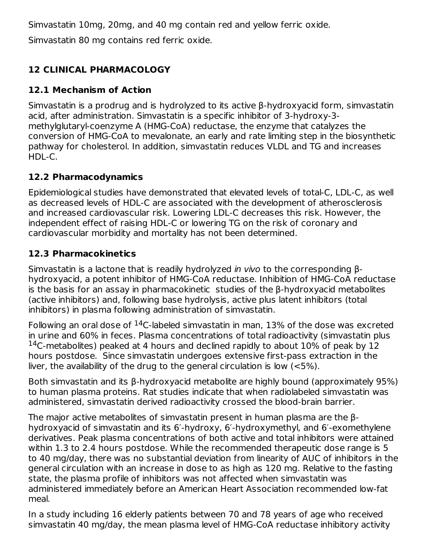Simvastatin 10mg, 20mg, and 40 mg contain red and yellow ferric oxide.

Simvastatin 80 mg contains red ferric oxide.

# **12 CLINICAL PHARMACOLOGY**

## **12.1 Mechanism of Action**

Simvastatin is a prodrug and is hydrolyzed to its active β-hydroxyacid form, simvastatin acid, after administration. Simvastatin is a specific inhibitor of 3-hydroxy-3 methylglutaryl-coenzyme A (HMG-CoA) reductase, the enzyme that catalyzes the conversion of HMG-CoA to mevalonate, an early and rate limiting step in the biosynthetic pathway for cholesterol. In addition, simvastatin reduces VLDL and TG and increases HDL-C.

# **12.2 Pharmacodynamics**

Epidemiological studies have demonstrated that elevated levels of total-C, LDL-C, as well as decreased levels of HDL-C are associated with the development of atherosclerosis and increased cardiovascular risk. Lowering LDL-C decreases this risk. However, the independent effect of raising HDL-C or lowering TG on the risk of coronary and cardiovascular morbidity and mortality has not been determined.

# **12.3 Pharmacokinetics**

Simvastatin is a lactone that is readily hydrolyzed in vivo to the corresponding βhydroxyacid, a potent inhibitor of HMG-CoA reductase. Inhibition of HMG-CoA reductase is the basis for an assay in pharmacokinetic studies of the β-hydroxyacid metabolites (active inhibitors) and, following base hydrolysis, active plus latent inhibitors (total inhibitors) in plasma following administration of simvastatin.

Following an oral dose of  $^{14}$ C-labeled simvastatin in man, 13% of the dose was excreted in urine and 60% in feces. Plasma concentrations of total radioactivity (simvastatin plus  $14$ C-metabolites) peaked at 4 hours and declined rapidly to about 10% of peak by 12 hours postdose. Since simvastatin undergoes extensive first-pass extraction in the liver, the availability of the drug to the general circulation is low (<5%).

Both simvastatin and its β-hydroxyacid metabolite are highly bound (approximately 95%) to human plasma proteins. Rat studies indicate that when radiolabeled simvastatin was administered, simvastatin derived radioactivity crossed the blood-brain barrier.

The major active metabolites of simvastatin present in human plasma are the βhydroxyacid of simvastatin and its 6′-hydroxy, 6′-hydroxymethyl, and 6′-exomethylene derivatives. Peak plasma concentrations of both active and total inhibitors were attained within 1.3 to 2.4 hours postdose. While the recommended therapeutic dose range is 5 to 40 mg/day, there was no substantial deviation from linearity of AUC of inhibitors in the general circulation with an increase in dose to as high as 120 mg. Relative to the fasting state, the plasma profile of inhibitors was not affected when simvastatin was administered immediately before an American Heart Association recommended low-fat meal.

In a study including 16 elderly patients between 70 and 78 years of age who received simvastatin 40 mg/day, the mean plasma level of HMG-CoA reductase inhibitory activity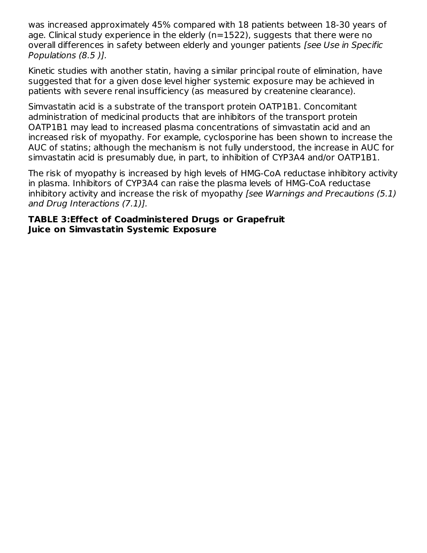was increased approximately 45% compared with 18 patients between 18-30 years of age. Clinical study experience in the elderly (n=1522), suggests that there were no overall differences in safety between elderly and younger patients [see Use in Specific Populations (8.5 )].

Kinetic studies with another statin, having a similar principal route of elimination, have suggested that for a given dose level higher systemic exposure may be achieved in patients with severe renal insufficiency (as measured by createnine clearance).

Simvastatin acid is a substrate of the transport protein OATP1B1. Concomitant administration of medicinal products that are inhibitors of the transport protein OATP1B1 may lead to increased plasma concentrations of simvastatin acid and an increased risk of myopathy. For example, cyclosporine has been shown to increase the AUC of statins; although the mechanism is not fully understood, the increase in AUC for simvastatin acid is presumably due, in part, to inhibition of CYP3A4 and/or OATP1B1.

The risk of myopathy is increased by high levels of HMG-CoA reductase inhibitory activity in plasma. Inhibitors of CYP3A4 can raise the plasma levels of HMG-CoA reductase inhibitory activity and increase the risk of myopathy [see Warnings and Precautions (5.1) and Drug Interactions (7.1)].

**TABLE 3:Effect of Coadministered Drugs or Grapefruit Juice on Simvastatin Systemic Exposure**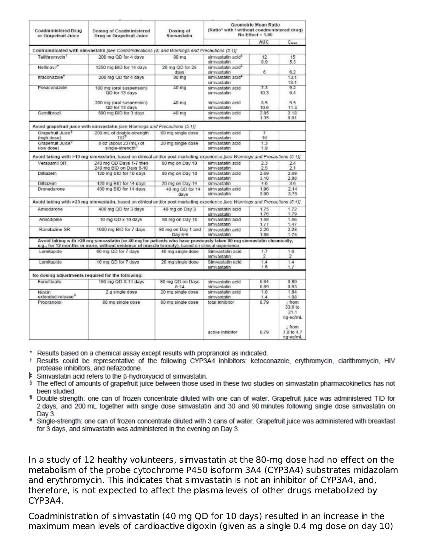| Coadministered Drug<br>or Grapefruit Juice   | <b>Dosing of Coadministered</b><br><b>Drug or Grapefruit Juice</b>                                                                                                                                                        | Dosing of<br><b>Simvastatin</b> | Geometric Mean Ratio<br>(Ratio* with / without coadministered drug)<br>No Effect = $1.00$ |                       |                                       |  |  |
|----------------------------------------------|---------------------------------------------------------------------------------------------------------------------------------------------------------------------------------------------------------------------------|---------------------------------|-------------------------------------------------------------------------------------------|-----------------------|---------------------------------------|--|--|
|                                              |                                                                                                                                                                                                                           |                                 |                                                                                           | AUC                   | $C_{\text{max}}$                      |  |  |
|                                              | Contraindicated with simvastatin [see Contraindications (4) and Warnings and Precautions (5.1)]                                                                                                                           |                                 |                                                                                           |                       |                                       |  |  |
| Telithromycin <sup>+</sup>                   | 200 mg QD for 4 days                                                                                                                                                                                                      | 80 mg                           | simvastatin acid <sup>‡</sup><br>simvastatin                                              | 12<br>8.9             | 15<br>5.3                             |  |  |
| Nelfinavir <sup>*</sup>                      | 1250 mg BID for 14 days                                                                                                                                                                                                   | 20 mg QD for 28<br>days         | simvastatin acid <sup>+</sup><br>simvastatin                                              | в                     | 62                                    |  |  |
| Itraconazole <sup>1</sup>                    | 200 mg QD for 4 days                                                                                                                                                                                                      | 80 mg                           | simvastatin acid <sup>+</sup><br>simvastatin                                              |                       | 13.1<br>13.1                          |  |  |
| Posaconazole                                 | 100 mg (oral suspension)<br>QD for 13 days                                                                                                                                                                                | 40 mg                           | simvastatin acid<br>simvastatin                                                           | 7.3<br>10.3           | 9.2<br>9.4                            |  |  |
|                                              | 200 mg (oral suspension)<br>QD for 13 days                                                                                                                                                                                | 40 mg                           | simvastatin acid<br>simvastatin                                                           | 8.5<br>10.6           | 9.5<br>11.4                           |  |  |
| Gemfibrozil                                  | 600 mg BID for 3 days                                                                                                                                                                                                     | $40$ mg                         | simvastatin acid<br>simvastatin                                                           | 2.85<br>1.35          | 2.18<br>0.91                          |  |  |
|                                              | Avoid grapefruit juice with simvastatin fsee Warnings and Precautions (5.1)]                                                                                                                                              |                                 |                                                                                           |                       |                                       |  |  |
| Grapefruit Juice <sup>1</sup><br>(high dose) | 200 mL of double-strength<br>TID <sup>4</sup>                                                                                                                                                                             | 60 mg single dose               | simvastatin acid<br>simvastatin                                                           | 7<br>16               |                                       |  |  |
| Grapefruit Juice <sup>®</sup><br>(low doese) | 8 oz (about 237mL) of<br>single-strength <sup>®</sup>                                                                                                                                                                     | 20 mg single dose               | simvastatin acid<br>simvastatin                                                           | 1.3<br>1.9            |                                       |  |  |
|                                              | Avoid taking with >10 mg simvastatin, based on clinical and/or post-marketing experience /see Warnings and Precautions (5.1)]                                                                                             |                                 |                                                                                           |                       |                                       |  |  |
| Verapamil SR                                 | 240 mg QD Days 1-7 then<br>240 mg BID on Days 8-10                                                                                                                                                                        | 80 mg on Day 10                 | simvastatin acid<br>simvastatin                                                           | 23<br>2.5             | 24<br>2.1                             |  |  |
| Diltiazem                                    | 120 mg BID for 10 days                                                                                                                                                                                                    | 80 mg on Day 10                 | simvastatin acid<br>simvastatin                                                           | 2.69<br>3.10          | 2.69<br>2.88                          |  |  |
| Diltiazem                                    | 120 mg BID for 14 days                                                                                                                                                                                                    | 20 mg on Day 14                 | simvastatin                                                                               | 4.6                   | 3.6                                   |  |  |
| Dronedarone                                  | 400 mg BID for 14 days                                                                                                                                                                                                    | 40 mg QD for 14<br>days         | simvastatin acid<br>simvastatin                                                           | 1.96<br>3.90          | 2.14<br>3.75                          |  |  |
|                                              | Avoid taking with >20 mg simvastatin, based on clinical and/or post-marketing experience [see Warnings and Precautions (5.1)]                                                                                             |                                 |                                                                                           |                       |                                       |  |  |
| Amiodarone                                   | 400 mg QD for 3 days                                                                                                                                                                                                      | 40 mg on Day 3                  | simvastatin acid<br>simvastatin                                                           | 1.75<br>1.76          | 172<br>1.79                           |  |  |
| Amiodipine                                   | 10 mg QD x 10 days                                                                                                                                                                                                        | 80 mg on Day 10                 | simvastatin acid<br>simvastatin                                                           | 1.58<br>1.77          | 1.56<br>1.47                          |  |  |
| Ranolazine SR                                | 1000 mg BID for 7 days                                                                                                                                                                                                    | 80 mg on Day 1 and<br>Day 6-9   | simvastatin acid<br>simvastatin                                                           | 2.26<br>1.86          | 2.28<br>1.75                          |  |  |
|                                              | Avoid taking with >20 mg simvastatin (or 40 mg for patients who have previously taken 80 mg simvastatin chronically,<br>e.q., for 12 months or more, without evidence of muscle to xicity), based on clinical experience. |                                 |                                                                                           |                       |                                       |  |  |
| Lomitapide                                   | 60 mg QD for 7 days                                                                                                                                                                                                       | 40 mg single dose               | Simvastatin acid<br>simvastatin                                                           | 1.7<br>$\overline{2}$ | 1.6<br>$\mathfrak{D}$                 |  |  |
| Lomitapide                                   | 10 mg QD for 7 days                                                                                                                                                                                                       | 20 mg single dose               | Simvastatin acid<br>simvastatin                                                           | 1.4<br>1.6            | 1.4<br>17                             |  |  |
|                                              | No dosing adjustments required for the following:                                                                                                                                                                         |                                 |                                                                                           |                       |                                       |  |  |
| Fenofibrate                                  | 160 mg QD X 14 days                                                                                                                                                                                                       | 80 mg QD on Days<br>$8 - 14$    | simvastatin acid<br>simvastatin                                                           | 0.64<br>0.89          | 0.89<br>0.83                          |  |  |
| Niacin<br>extended-release <sup>p</sup>      | 2 g single dose                                                                                                                                                                                                           | 20 mg single dose               | simvastatin acid<br>simvastatin                                                           | 1.6<br>1.4            | 1.84<br>1.08                          |  |  |
| Propranolol                                  | 80 mg single dose                                                                                                                                                                                                         | 80 mg single dose               | total inhibitor                                                                           | 0.79                  | 1 from<br>33.6 to<br>21.1<br>ng-eg/mL |  |  |
|                                              |                                                                                                                                                                                                                           |                                 | active inhibitor                                                                          | 0.79                  | 1 from<br>7.0 to 4.7<br>ng-eq/mL      |  |  |

\* Results based on a chemical assay except results with propranolol as indicated.

- <sup>†</sup> Results could be representative of the following CYP3A4 inhibitors: ketoconazole, erythromycin, clarithromycin, HIV protease inhibitors, and nefazodone.
- $\ddagger$  Simvastatin acid refers to the  $\beta$ -hydroxyacid of simvastatin.
- <sup>§</sup> The effect of amounts of grapefruit juice between those used in these two studies on simvastatin pharmacokinetics has not been studied.
- " Double-strength: one can of frozen concentrate diluted with one can of water. Grapefruit juice was administered TID for 2 days, and 200 mL together with single dose simvastatin and 30 and 90 minutes following single dose simvastatin on Day 3.
- # Single-strength: one can of frozen concentrate diluted with 3 cans of water. Grapefruit juice was administered with breakfast for 3 days, and simvastatin was administered in the evening on Day 3.

In a study of 12 healthy volunteers, simvastatin at the 80-mg dose had no effect on the metabolism of the probe cytochrome P450 isoform 3A4 (CYP3A4) substrates midazolam and erythromycin. This indicates that simvastatin is not an inhibitor of CYP3A4, and, therefore, is not expected to affect the plasma levels of other drugs metabolized by CYP3A4.

Coadministration of simvastatin (40 mg QD for 10 days) resulted in an increase in the maximum mean levels of cardioactive digoxin (given as a single 0.4 mg dose on day 10)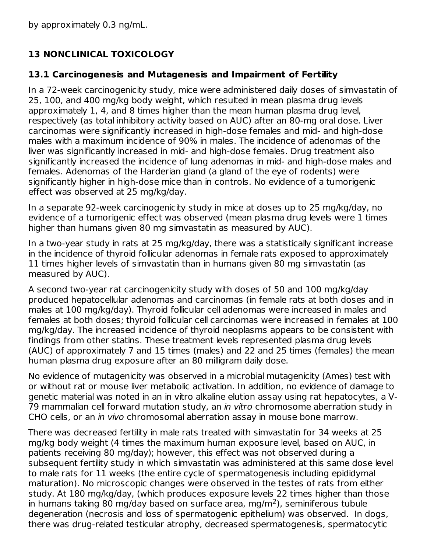by approximately 0.3 ng/mL.

# **13 NONCLINICAL TOXICOLOGY**

### **13.1 Carcinogenesis and Mutagenesis and Impairment of Fertility**

In a 72-week carcinogenicity study, mice were administered daily doses of simvastatin of 25, 100, and 400 mg/kg body weight, which resulted in mean plasma drug levels approximately 1, 4, and 8 times higher than the mean human plasma drug level, respectively (as total inhibitory activity based on AUC) after an 80-mg oral dose. Liver carcinomas were significantly increased in high-dose females and mid- and high-dose males with a maximum incidence of 90% in males. The incidence of adenomas of the liver was significantly increased in mid- and high-dose females. Drug treatment also significantly increased the incidence of lung adenomas in mid- and high-dose males and females. Adenomas of the Harderian gland (a gland of the eye of rodents) were significantly higher in high-dose mice than in controls. No evidence of a tumorigenic effect was observed at 25 mg/kg/day.

In a separate 92-week carcinogenicity study in mice at doses up to 25 mg/kg/day, no evidence of a tumorigenic effect was observed (mean plasma drug levels were 1 times higher than humans given 80 mg simvastatin as measured by AUC).

In a two-year study in rats at 25 mg/kg/day, there was a statistically significant increase in the incidence of thyroid follicular adenomas in female rats exposed to approximately 11 times higher levels of simvastatin than in humans given 80 mg simvastatin (as measured by AUC).

A second two-year rat carcinogenicity study with doses of 50 and 100 mg/kg/day produced hepatocellular adenomas and carcinomas (in female rats at both doses and in males at 100 mg/kg/day). Thyroid follicular cell adenomas were increased in males and females at both doses; thyroid follicular cell carcinomas were increased in females at 100 mg/kg/day. The increased incidence of thyroid neoplasms appears to be consistent with findings from other statins. These treatment levels represented plasma drug levels (AUC) of approximately 7 and 15 times (males) and 22 and 25 times (females) the mean human plasma drug exposure after an 80 milligram daily dose.

No evidence of mutagenicity was observed in a microbial mutagenicity (Ames) test with or without rat or mouse liver metabolic activation. In addition, no evidence of damage to genetic material was noted in an in vitro alkaline elution assay using rat hepatocytes, a V-79 mammalian cell forward mutation study, an in vitro chromosome aberration study in CHO cells, or an in vivo chromosomal aberration assay in mouse bone marrow.

There was decreased fertility in male rats treated with simvastatin for 34 weeks at 25 mg/kg body weight (4 times the maximum human exposure level, based on AUC, in patients receiving 80 mg/day); however, this effect was not observed during a subsequent fertility study in which simvastatin was administered at this same dose level to male rats for 11 weeks (the entire cycle of spermatogenesis including epididymal maturation). No microscopic changes were observed in the testes of rats from either study. At 180 mg/kg/day, (which produces exposure levels 22 times higher than those in humans taking 80 mg/day based on surface area, mg/m<sup>2</sup>), seminiferous tubule degeneration (necrosis and loss of spermatogenic epithelium) was observed. In dogs, there was drug-related testicular atrophy, decreased spermatogenesis, spermatocytic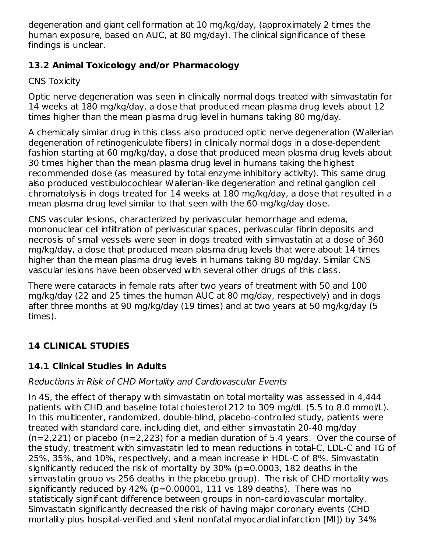degeneration and giant cell formation at 10 mg/kg/day, (approximately 2 times the human exposure, based on AUC, at 80 mg/day). The clinical significance of these findings is unclear.

# **13.2 Animal Toxicology and/or Pharmacology**

### CNS Toxicity

Optic nerve degeneration was seen in clinically normal dogs treated with simvastatin for 14 weeks at 180 mg/kg/day, a dose that produced mean plasma drug levels about 12 times higher than the mean plasma drug level in humans taking 80 mg/day.

A chemically similar drug in this class also produced optic nerve degeneration (Wallerian degeneration of retinogeniculate fibers) in clinically normal dogs in a dose-dependent fashion starting at 60 mg/kg/day, a dose that produced mean plasma drug levels about 30 times higher than the mean plasma drug level in humans taking the highest recommended dose (as measured by total enzyme inhibitory activity). This same drug also produced vestibulocochlear Wallerian-like degeneration and retinal ganglion cell chromatolysis in dogs treated for 14 weeks at 180 mg/kg/day, a dose that resulted in a mean plasma drug level similar to that seen with the 60 mg/kg/day dose.

CNS vascular lesions, characterized by perivascular hemorrhage and edema, mononuclear cell infiltration of perivascular spaces, perivascular fibrin deposits and necrosis of small vessels were seen in dogs treated with simvastatin at a dose of 360 mg/kg/day, a dose that produced mean plasma drug levels that were about 14 times higher than the mean plasma drug levels in humans taking 80 mg/day. Similar CNS vascular lesions have been observed with several other drugs of this class.

There were cataracts in female rats after two years of treatment with 50 and 100 mg/kg/day (22 and 25 times the human AUC at 80 mg/day, respectively) and in dogs after three months at 90 mg/kg/day (19 times) and at two years at 50 mg/kg/day (5 times).

# **14 CLINICAL STUDIES**

# **14.1 Clinical Studies in Adults**

# Reductions in Risk of CHD Mortality and Cardiovascular Events

In 4S, the effect of therapy with simvastatin on total mortality was assessed in 4,444 patients with CHD and baseline total cholesterol 212 to 309 mg/dL (5.5 to 8.0 mmol/L). In this multicenter, randomized, double-blind, placebo-controlled study, patients were treated with standard care, including diet, and either simvastatin 20-40 mg/day  $(n=2,221)$  or placebo  $(n=2,223)$  for a median duration of 5.4 years. Over the course of the study, treatment with simvastatin led to mean reductions in total-C, LDL-C and TG of 25%, 35%, and 10%, respectively, and a mean increase in HDL-C of 8%. Simvastatin significantly reduced the risk of mortality by 30% (p=0.0003, 182 deaths in the simvastatin group vs 256 deaths in the placebo group). The risk of CHD mortality was significantly reduced by 42% (p=0.00001, 111 vs 189 deaths). There was no statistically significant difference between groups in non-cardiovascular mortality. Simvastatin significantly decreased the risk of having major coronary events (CHD mortality plus hospital-verified and silent nonfatal myocardial infarction [MI]) by 34%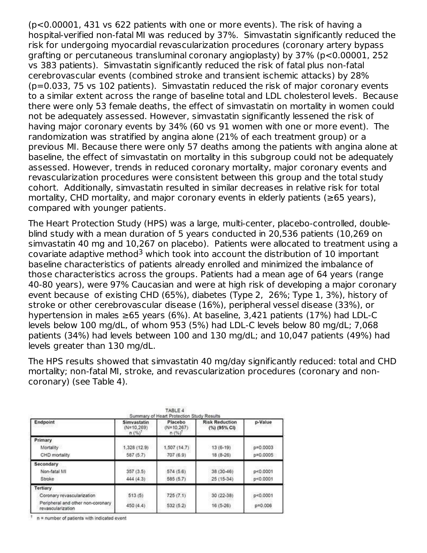(p<0.00001, 431 vs 622 patients with one or more events). The risk of having a hospital-verified non-fatal MI was reduced by 37%. Simvastatin significantly reduced the risk for undergoing myocardial revascularization procedures (coronary artery bypass grafting or percutaneous transluminal coronary angioplasty) by 37% (p<0.00001, 252 vs 383 patients). Simvastatin significantly reduced the risk of fatal plus non-fatal cerebrovascular events (combined stroke and transient ischemic attacks) by 28% (p=0.033, 75 vs 102 patients). Simvastatin reduced the risk of major coronary events to a similar extent across the range of baseline total and LDL cholesterol levels. Because there were only 53 female deaths, the effect of simvastatin on mortality in women could not be adequately assessed. However, simvastatin significantly lessened the risk of having major coronary events by 34% (60 vs 91 women with one or more event). The randomization was stratified by angina alone (21% of each treatment group) or a previous MI. Because there were only 57 deaths among the patients with angina alone at baseline, the effect of simvastatin on mortality in this subgroup could not be adequately assessed. However, trends in reduced coronary mortality, major coronary events and revascularization procedures were consistent between this group and the total study cohort. Additionally, simvastatin resulted in similar decreases in relative risk for total mortality, CHD mortality, and major coronary events in elderly patients (≥65 years), compared with younger patients.

The Heart Protection Study (HPS) was a large, multi-center, placebo-controlled, doubleblind study with a mean duration of 5 years conducted in 20,536 patients (10,269 on simvastatin 40 mg and 10,267 on placebo). Patients were allocated to treatment using a covariate adaptive method<sup>3</sup> which took into account the distribution of 10 important baseline characteristics of patients already enrolled and minimized the imbalance of those characteristics across the groups. Patients had a mean age of 64 years (range 40-80 years), were 97% Caucasian and were at high risk of developing a major coronary event because of existing CHD (65%), diabetes (Type 2, 26%; Type 1, 3%), history of stroke or other cerebrovascular disease (16%), peripheral vessel disease (33%), or hypertension in males ≥65 years (6%). At baseline, 3,421 patients (17%) had LDL-C levels below 100 mg/dL, of whom 953 (5%) had LDL-C levels below 80 mg/dL; 7,068 patients (34%) had levels between 100 and 130 mg/dL; and 10,047 patients (49%) had levels greater than 130 mg/dL.

The HPS results showed that simvastatin 40 mg/day significantly reduced: total and CHD mortality; non-fatal MI, stroke, and revascularization procedures (coronary and noncoronary) (see Table 4).

|                                                        |                                      | TABLE 4<br>Summary of Heart Protection Study Results |                                       |              |
|--------------------------------------------------------|--------------------------------------|------------------------------------------------------|---------------------------------------|--------------|
| Endpoint                                               | Simvastatin<br>$(N=10.269)$<br>n(%)' | Placebo<br>$(N=10.267)$<br>n(%)                      | <b>Risk Reduction</b><br>(%) (95% CI) | p-Value      |
| Primary                                                |                                      |                                                      |                                       |              |
| Mortality                                              | 1,328 (12.9)                         | 1,507 (14.7)                                         | $13(6-19)$                            | $p = 0.0003$ |
| CHD mortality                                          | 587 (5.7)                            | 707 (6.9)                                            | $18(8-26)$                            | $p = 0.0005$ |
| Secondary                                              |                                      |                                                      |                                       |              |
| Non-fatal MI                                           | 357(3.5)                             | 574 (5.6)                                            | 38 (30-46)                            | p < 0.0001   |
| Stroke                                                 | 444 (4.3)                            | 585 (5.7)                                            | 25 (15-34)                            | p < 0.0001   |
| <b>Tertiary</b>                                        |                                      |                                                      |                                       |              |
| Coronary revascularization                             | 513(5)                               | 725(7.1)                                             | 30 (22-38)                            | p<0.0001     |
| Peripheral and other non-coronary<br>revascularization | 450 (4.4)                            | 532(5.2)                                             | $16(5-26)$                            | p=0.006      |

 $\uparrow$  n = number of patients with indicated event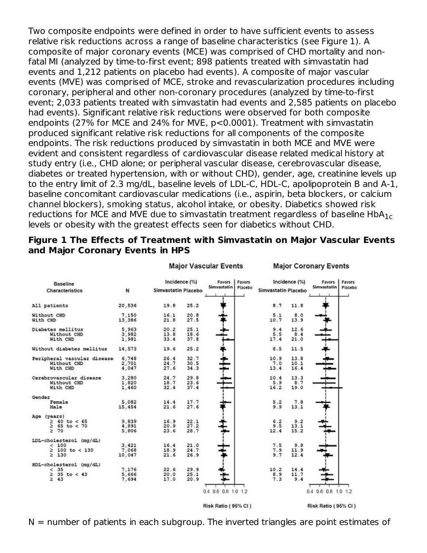Two composite endpoints were defined in order to have sufficient events to assess relative risk reductions across a range of baseline characteristics (see Figure 1). A composite of major coronary events (MCE) was comprised of CHD mortality and nonfatal MI (analyzed by time-to-first event; 898 patients treated with simvastatin had events and 1,212 patients on placebo had events). A composite of major vascular events (MVE) was comprised of MCE, stroke and revascularization procedures including coronary, peripheral and other non-coronary procedures (analyzed by time-to-first event; 2,033 patients treated with simvastatin had events and 2,585 patients on placebo had events). Significant relative risk reductions were observed for both composite endpoints (27% for MCE and 24% for MVE, p<0.0001). Treatment with simvastatin produced significant relative risk reductions for all components of the composite endpoints. The risk reductions produced by simvastatin in both MCE and MVE were evident and consistent regardless of cardiovascular disease related medical history at study entry (i.e., CHD alone; or peripheral vascular disease, cerebrovascular disease, diabetes or treated hypertension, with or without CHD), gender, age, creatinine levels up to the entry limit of 2.3 mg/dL, baseline levels of LDL-C, HDL-C, apolipoprotein B and A-1, baseline concomitant cardiovascular medications (i.e., aspirin, beta blockers, or calcium channel blockers), smoking status, alcohol intake, or obesity. Diabetics showed risk reductions for MCE and MVE due to simvastatin treatment regardless of baseline <code>HbA $_{\rm 1c}$ </code> levels or obesity with the greatest effects seen for diabetics without CHD.



#### **Figure 1 The Effects of Treatment with Simvastatin on Major Vascular Events and Major Coronary Events in HPS**

 $N =$  number of patients in each subgroup. The inverted triangles are point estimates of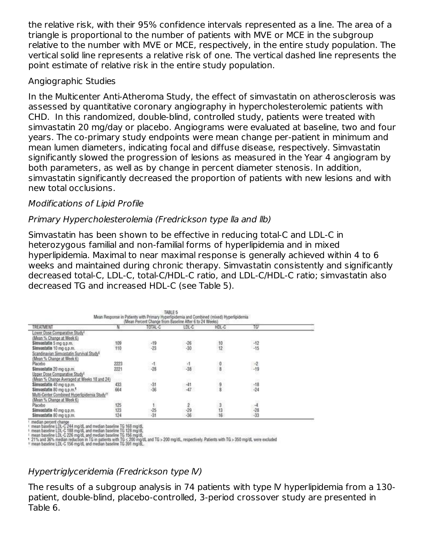the relative risk, with their 95% confidence intervals represented as a line. The area of a triangle is proportional to the number of patients with MVE or MCE in the subgroup relative to the number with MVE or MCE, respectively, in the entire study population. The vertical solid line represents a relative risk of one. The vertical dashed line represents the point estimate of relative risk in the entire study population.

### Angiographic Studies

In the Multicenter Anti-Atheroma Study, the effect of simvastatin on atherosclerosis was assessed by quantitative coronary angiography in hypercholesterolemic patients with CHD. In this randomized, double-blind, controlled study, patients were treated with simvastatin 20 mg/day or placebo. Angiograms were evaluated at baseline, two and four years. The co-primary study endpoints were mean change per-patient in minimum and mean lumen diameters, indicating focal and diffuse disease, respectively. Simvastatin significantly slowed the progression of lesions as measured in the Year 4 angiogram by both parameters, as well as by change in percent diameter stenosis. In addition, simvastatin significantly decreased the proportion of patients with new lesions and with new total occlusions.

### Modifications of Lipid Profile

### Primary Hypercholesterolemia (Fredrickson type lla and llb)

Simvastatin has been shown to be effective in reducing total-C and LDL-C in heterozygous familial and non-familial forms of hyperlipidemia and in mixed hyperlipidemia. Maximal to near maximal response is generally achieved within 4 to 6 weeks and maintained during chronic therapy. Simvastatin consistently and significantly decreased total-C, LDL-C, total-C/HDL-C ratio, and LDL-C/HDL-C ratio; simvastatin also decreased TG and increased HDL-C (see Table 5).

| <b>TREATMEN</b>                                          |            | TOTAL-C        | LDL-C          | HDL-C         | TG!            |  |
|----------------------------------------------------------|------------|----------------|----------------|---------------|----------------|--|
| ower Dose Comparative Study <sup>1</sup>                 |            |                |                |               |                |  |
| (Mean % Change at Week 6)                                |            |                |                |               |                |  |
| Simvastatin 5 mg q.p.m.                                  | 109        | $-19$<br>$-23$ | $-26$<br>$-30$ | $10$<br>$12$  | $-12$          |  |
| Simvastatin 10 mg q.p.m.                                 | 110        |                |                |               | $-15$          |  |
| Scandinavian Simvastatin Survival Study <sup>6</sup>     |            |                |                |               |                |  |
| (Mean % Change at Week 6)                                |            |                |                |               |                |  |
| Placebo                                                  | 2223       |                |                |               |                |  |
| Simvastatin 20 mg q.p.m.                                 | 2221       | $\frac{1}{28}$ | $-38$          | $\frac{0}{8}$ | $-2$<br>$-19$  |  |
| Upper Dose Comparative Study <sup>1</sup>                |            |                |                |               |                |  |
| Mean % Change Averaged at Weeks 18 and 24)               |            |                |                |               |                |  |
| Simvastatin 40 mg q.p.m.                                 | 433        | $-31$<br>$-36$ |                |               | $-18$          |  |
| Simvastatin 80 mg q.p.m. <sup>1</sup>                    | 664        |                | $-47$          | 88            | $-24$          |  |
| Multi-Center Combined Hyperlipidemia Study <sup>11</sup> |            |                |                |               |                |  |
| Mean % Change at Week 6)                                 |            |                |                |               |                |  |
| Placebo                                                  |            |                |                |               |                |  |
| Simvastatin 40 mg q.p.m.                                 | 125<br>123 |                | $\frac{2}{29}$ | 13            |                |  |
| Simvastatin 80 mg q.p.m.                                 | 124        | $-25$<br>$-31$ |                | lŜ            | $\frac{4}{33}$ |  |

median percent change<br>mean baseline LDL-C 244 mg/dL and median baseline TG 168 mg/dL<br>mean baseline LDL-C 244 mg/dL and median baseline TG 128 mg/dL<br>mean baseline LDL-C 226 mg/dL and median baseline TG 156 mg/dL<br>21% and 36%

### Hypertriglyceridemia (Fredrickson type lV)

The results of a subgroup analysis in 74 patients with type lV hyperlipidemia from a 130 patient, double-blind, placebo-controlled, 3-period crossover study are presented in Table 6.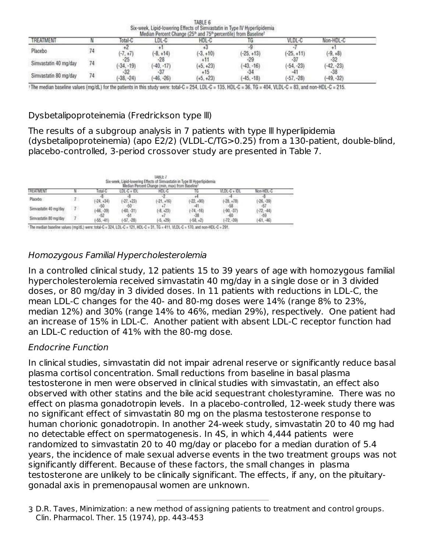| TABLE 6                                                                                |  |
|----------------------------------------------------------------------------------------|--|
| Six-week, Lipid-lowering Effects of Simvastatin in Type IV Hyperlipidemia              |  |
| Median Percent Channe (25 <sup>th</sup> and 75 <sup>th</sup> nercentile) from Baseline |  |

| TREATMENT             |    | Total-       | DL-C                  | HDL-C                |                       | VLDL-C       | Non-HDL-C             |  |
|-----------------------|----|--------------|-----------------------|----------------------|-----------------------|--------------|-----------------------|--|
| Placebo               |    | $(-7, +7)$   | $(-8, +14)$           | $(-3, +10)$          | $(-25, +13)$          | $(-25, +11)$ | $(-9, +8)$            |  |
| Simvastatin 40 mg/day | 74 | $(-34, -19)$ | $-28$<br>$(-40, -17)$ | $(+5, +23)$          | $-29$<br>$(-43, -16)$ | $(-54, -23)$ | $-32$<br>$(-42, -23)$ |  |
| Simvastatin 80 mg/day | 74 | $(-38, -24)$ | $(-46, -26)$          | $+15$<br>$(+5, +23)$ | $-34$<br>$(-45, -18)$ | $(-57, -28)$ | $-38$<br>$(-49, -32)$ |  |

The median baseline values (mg/dL) for the patients in this study were: total-C = 254, LDL-C = 135, HDL-C = 36, TG = 404, VLDL-C = 83, and non-HDL-C = 215.

### Dysbetalipoproteinemia (Fredrickson type lll)

The results of a subgroup analysis in 7 patients with type lll hyperlipidemia (dysbetalipoproteinemia) (apo E2/2) (VLDL-C/TG>0.25) from a 130-patient, double-blind, placebo-controlled, 3-period crossover study are presented in Table 7.

|                       |               |                     |                       | <b>TABLE</b><br>Six-week, Lipid-lowering Effects of Simvastatin in Type III Hyperlipidemia<br>Median Percent Change (min, max) from Baseline |              |              |                       |
|-----------------------|---------------|---------------------|-----------------------|----------------------------------------------------------------------------------------------------------------------------------------------|--------------|--------------|-----------------------|
| TREATMENT             |               | otal-C              | LDL-C + IDL           | HDL-C                                                                                                                                        |              | VLDL-C + IDL | Non-HDL-C             |
| Placebo               | $\mathcal{I}$ | $(-24, +34)$        | $(-27, +23)$          | $(-21, +16)$                                                                                                                                 | $(-22, +90)$ | $(-28, +78)$ | $(-26,-39)$           |
| Simvastatin 40 mg/day | 7.            | $-50$<br>$-66, -39$ | $-50$<br>$(-60, -31)$ | $(-8, +23)$                                                                                                                                  | $(-74, -16)$ | $(-90, -37)$ | $-57$<br>$(-72,-44)$  |
| Simvastatin 80 mg/day |               | $-52$<br>$-55. -41$ | -51<br>$(-57, -28)$   | $(-5, +29)$                                                                                                                                  | $(-58, +2)$  | $(-72, -39)$ | $-59$<br>$(-61, -46)$ |

ne values (mg/dL) were: total-C = 324, LDL-C = 121, HDL-C = 31, 1G = 411, VLDL-C = 170, and non-HDL-C = 291

### Homozygous Familial Hypercholesterolemia

In a controlled clinical study, 12 patients 15 to 39 years of age with homozygous familial hypercholesterolemia received simvastatin 40 mg/day in a single dose or in 3 divided doses, or 80 mg/day in 3 divided doses. In 11 patients with reductions in LDL-C, the mean LDL-C changes for the 40- and 80-mg doses were 14% (range 8% to 23%, median 12%) and 30% (range 14% to 46%, median 29%), respectively. One patient had an increase of 15% in LDL-C. Another patient with absent LDL-C receptor function had an LDL-C reduction of 41% with the 80-mg dose.

### Endocrine Function

In clinical studies, simvastatin did not impair adrenal reserve or significantly reduce basal plasma cortisol concentration. Small reductions from baseline in basal plasma testosterone in men were observed in clinical studies with simvastatin, an effect also observed with other statins and the bile acid sequestrant cholestyramine. There was no effect on plasma gonadotropin levels. In a placebo-controlled, 12-week study there was no significant effect of simvastatin 80 mg on the plasma testosterone response to human chorionic gonadotropin. In another 24-week study, simvastatin 20 to 40 mg had no detectable effect on spermatogenesis. In 4S, in which 4,444 patients were randomized to simvastatin 20 to 40 mg/day or placebo for a median duration of 5.4 years, the incidence of male sexual adverse events in the two treatment groups was not significantly different. Because of these factors, the small changes in plasma testosterone are unlikely to be clinically significant. The effects, if any, on the pituitarygonadal axis in premenopausal women are unknown.

<sup>3</sup> D.R. Taves, Minimization: a new method of assigning patients to treatment and control groups. Clin. Pharmacol. Ther. 15 (1974), pp. 443-453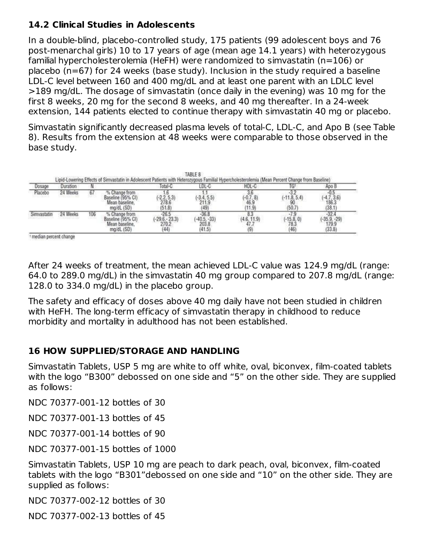## **14.2 Clinical Studies in Adolescents**

In a double-blind, placebo-controlled study, 175 patients (99 adolescent boys and 76 post-menarchal girls) 10 to 17 years of age (mean age 14.1 years) with heterozygous familial hypercholesterolemia (HeFH) were randomized to simvastatin (n=106) or placebo (n=67) for 24 weeks (base study). Inclusion in the study required a baseline LDL-C level between 160 and 400 mg/dL and at least one parent with an LDLC level >189 mg/dL. The dosage of simvastatin (once daily in the evening) was 10 mg for the first 8 weeks, 20 mg for the second 8 weeks, and 40 mg thereafter. In a 24-week extension, 144 patients elected to continue therapy with simvastatin 40 mg or placebo.

Simvastatin significantly decreased plasma levels of total-C, LDL-C, and Apo B (see Table 8). Results from the extension at 48 weeks were comparable to those observed in the base study.

|        |                          |     | Lipid-Lowering Effects of Simvastatin in Adolescent Patients with Heterozygous Familial Hypercholesterolemia (Mean Percent Change from Baseline) |                        | TABLE 8         |       |      |               |
|--------|--------------------------|-----|--------------------------------------------------------------------------------------------------------------------------------------------------|------------------------|-----------------|-------|------|---------------|
| Dosage | Duration                 |     |                                                                                                                                                  | otal                   |                 | HDL-I |      |               |
| пасељ  | 24 Weeks<br>TAM WEBSTERS | ы   | from<br>Raseline (95% CI)<br>(SD)                                                                                                                |                        |                 | 11.9  | 50.7 | 86.<br>(38.1) |
|        | -24 Weeks                | 106 | Change from<br>Baseline (95% CI)<br>ma/dL (SD)                                                                                                   | $29.6 - 23.3$<br>270.2 | 203.8<br>(41.5) |       |      | 33.8          |

<sup>1</sup> median percent change

After 24 weeks of treatment, the mean achieved LDL-C value was 124.9 mg/dL (range: 64.0 to 289.0 mg/dL) in the simvastatin 40 mg group compared to 207.8 mg/dL (range: 128.0 to 334.0 mg/dL) in the placebo group.

The safety and efficacy of doses above 40 mg daily have not been studied in children with HeFH. The long-term efficacy of simvastatin therapy in childhood to reduce morbidity and mortality in adulthood has not been established.

### **16 HOW SUPPLIED/STORAGE AND HANDLING**

Simvastatin Tablets, USP 5 mg are white to off white, oval, biconvex, film-coated tablets with the logo "B300" debossed on one side and "5" on the other side. They are supplied as follows:

NDC 70377-001-12 bottles of 30

NDC 70377-001-13 bottles of 45

NDC 70377-001-14 bottles of 90

NDC 70377-001-15 bottles of 1000

Simvastatin Tablets, USP 10 mg are peach to dark peach, oval, biconvex, film-coated tablets with the logo "B301"debossed on one side and "10" on the other side. They are supplied as follows:

NDC 70377-002-12 bottles of 30

NDC 70377-002-13 bottles of 45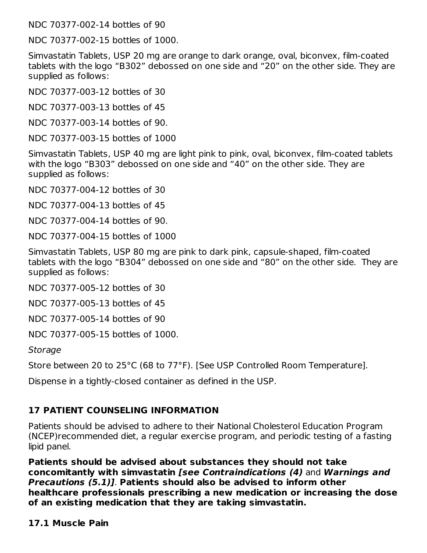NDC 70377-002-14 bottles of 90

NDC 70377-002-15 bottles of 1000.

Simvastatin Tablets, USP 20 mg are orange to dark orange, oval, biconvex, film-coated tablets with the logo "B302" debossed on one side and "20" on the other side. They are supplied as follows:

NDC 70377-003-12 bottles of 30

NDC 70377-003-13 bottles of 45

NDC 70377-003-14 bottles of 90.

NDC 70377-003-15 bottles of 1000

Simvastatin Tablets, USP 40 mg are light pink to pink, oval, biconvex, film-coated tablets with the logo "B303" debossed on one side and "40" on the other side. They are supplied as follows:

NDC 70377-004-12 bottles of 30

NDC 70377-004-13 bottles of 45

NDC 70377-004-14 bottles of 90.

NDC 70377-004-15 bottles of 1000

Simvastatin Tablets, USP 80 mg are pink to dark pink, capsule-shaped, film-coated tablets with the logo "B304" debossed on one side and "80" on the other side. They are supplied as follows:

NDC 70377-005-12 bottles of 30

NDC 70377-005-13 bottles of 45

NDC 70377-005-14 bottles of 90

NDC 70377-005-15 bottles of 1000.

Storage

Store between 20 to 25°C (68 to 77°F). [See USP Controlled Room Temperature].

Dispense in a tightly-closed container as defined in the USP.

### **17 PATIENT COUNSELING INFORMATION**

Patients should be advised to adhere to their National Cholesterol Education Program (NCEP)recommended diet, a regular exercise program, and periodic testing of a fasting lipid panel.

**Patients should be advised about substances they should not take concomitantly with simvastatin [see Contraindications (4)** and **Warnings and Precautions (5.1)]**. **Patients should also be advised to inform other healthcare professionals prescribing a new medication or increasing the dose of an existing medication that they are taking simvastatin.**

#### **17.1 Muscle Pain**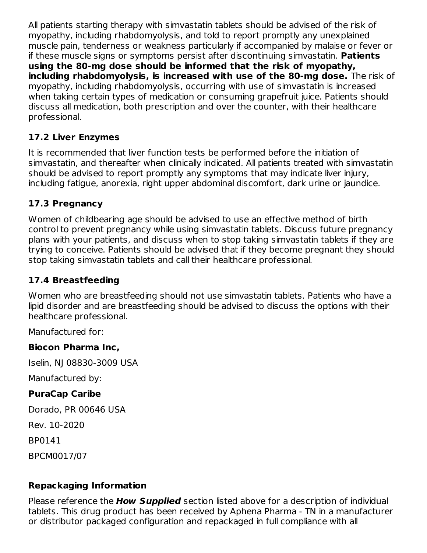All patients starting therapy with simvastatin tablets should be advised of the risk of myopathy, including rhabdomyolysis, and told to report promptly any unexplained muscle pain, tenderness or weakness particularly if accompanied by malaise or fever or if these muscle signs or symptoms persist after discontinuing simvastatin. **Patients using the 80-mg dose should be informed that the risk of myopathy, including rhabdomyolysis, is increased with use of the 80-mg dose.** The risk of myopathy, including rhabdomyolysis, occurring with use of simvastatin is increased when taking certain types of medication or consuming grapefruit juice. Patients should discuss all medication, both prescription and over the counter, with their healthcare professional.

## **17.2 Liver Enzymes**

It is recommended that liver function tests be performed before the initiation of simvastatin, and thereafter when clinically indicated. All patients treated with simvastatin should be advised to report promptly any symptoms that may indicate liver injury, including fatigue, anorexia, right upper abdominal discomfort, dark urine or jaundice.

### **17.3 Pregnancy**

Women of childbearing age should be advised to use an effective method of birth control to prevent pregnancy while using simvastatin tablets. Discuss future pregnancy plans with your patients, and discuss when to stop taking simvastatin tablets if they are trying to conceive. Patients should be advised that if they become pregnant they should stop taking simvastatin tablets and call their healthcare professional.

### **17.4 Breastfeeding**

Women who are breastfeeding should not use simvastatin tablets. Patients who have a lipid disorder and are breastfeeding should be advised to discuss the options with their healthcare professional.

Manufactured for:

### **Biocon Pharma Inc,**

Iselin, NJ 08830-3009 USA

Manufactured by:

### **PuraCap Caribe**

Dorado, PR 00646 USA

Rev. 10-2020

BP0141

BPCM0017/07

### **Repackaging Information**

Please reference the **How Supplied** section listed above for a description of individual tablets. This drug product has been received by Aphena Pharma - TN in a manufacturer or distributor packaged configuration and repackaged in full compliance with all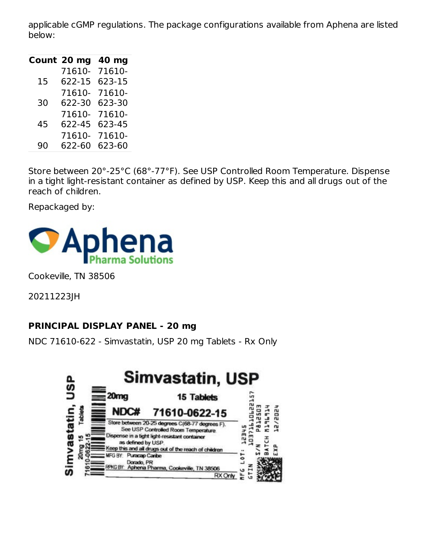applicable cGMP regulations. The package configurations available from Aphena are listed below:

|    | Count 20 mg | 40 mg  |
|----|-------------|--------|
|    | 71610-      | 71610- |
| 15 | 622-15      | 623-15 |
|    | 71610-      | 71610- |
| 30 | 622-30      | 623-30 |
|    | 71610-      | 71610- |
| 45 | 622-45      | 623-45 |
|    | 71610-      | 71610- |
| 90 | 622-60      | 623-60 |

Store between 20°-25°C (68°-77°F). See USP Controlled Room Temperature. Dispense in a tight light-resistant container as defined by USP. Keep this and all drugs out of the reach of children.

Repackaged by:



Cookeville, TN 38506

20211223JH

# **PRINCIPAL DISPLAY PANEL - 20 mg**

NDC 71610-622 - Simvastatin, USP 20 mg Tablets - Rx Only

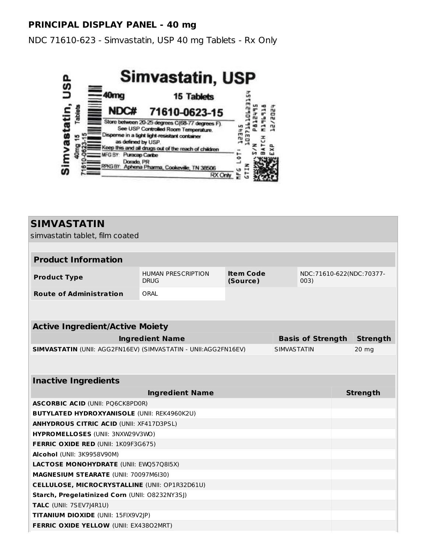#### **PRINCIPAL DISPLAY PANEL - 40 mg**

NDC 71610-623 - Simvastatin, USP 40 mg Tablets - Rx Only



| <b>SIMVASTATIN</b>                                             |                                          |                              |                          |  |                          |
|----------------------------------------------------------------|------------------------------------------|------------------------------|--------------------------|--|--------------------------|
| simvastatin tablet, film coated                                |                                          |                              |                          |  |                          |
|                                                                |                                          |                              |                          |  |                          |
| <b>Product Information</b>                                     |                                          |                              |                          |  |                          |
| <b>Product Type</b>                                            | <b>HUMAN PRESCRIPTION</b><br><b>DRUG</b> | <b>Item Code</b><br>(Source) | 003)                     |  | NDC:71610-622(NDC:70377- |
| <b>Route of Administration</b>                                 | ORAL                                     |                              |                          |  |                          |
|                                                                |                                          |                              |                          |  |                          |
|                                                                |                                          |                              |                          |  |                          |
| <b>Active Ingredient/Active Moiety</b>                         |                                          |                              |                          |  |                          |
|                                                                | <b>Ingredient Name</b>                   |                              | <b>Basis of Strength</b> |  | <b>Strength</b>          |
| SIMVASTATIN (UNII: AGG2FN16EV) (SIMVASTATIN - UNII:AGG2FN16EV) |                                          |                              | <b>SIMVASTATIN</b>       |  | 20 mg                    |
|                                                                |                                          |                              |                          |  |                          |
|                                                                |                                          |                              |                          |  |                          |
| <b>Inactive Ingredients</b>                                    |                                          |                              |                          |  |                          |
|                                                                | <b>Ingredient Name</b>                   |                              |                          |  | <b>Strength</b>          |
| <b>ASCORBIC ACID (UNII: PQ6CK8PD0R)</b>                        |                                          |                              |                          |  |                          |
| <b>BUTYLATED HYDROXYANISOLE (UNII: REK4960K2U)</b>             |                                          |                              |                          |  |                          |
| <b>ANHYDROUS CITRIC ACID (UNII: XF417D3PSL)</b>                |                                          |                              |                          |  |                          |
| HYPROMELLOSES (UNII: 3NXW29V3WO)                               |                                          |                              |                          |  |                          |
| FERRIC OXIDE RED (UNII: 1K09F3G675)                            |                                          |                              |                          |  |                          |
| Alcohol (UNII: 3K9958V90M)                                     |                                          |                              |                          |  |                          |
| <b>LACTOSE MONOHYDRATE (UNII: EWQ57Q8I5X)</b>                  |                                          |                              |                          |  |                          |
| MAGNESIUM STEARATE (UNII: 70097M6I30)                          |                                          |                              |                          |  |                          |
| CELLULOSE, MICROCRYSTALLINE (UNII: OP1R32D61U)                 |                                          |                              |                          |  |                          |
| Starch, Pregelatinized Corn (UNII: 08232NY3SJ)                 |                                          |                              |                          |  |                          |
| TALC (UNII: 7SEV7J4R1U)                                        |                                          |                              |                          |  |                          |
| TITANIUM DIOXIDE (UNII: 15FIX9V2JP)                            |                                          |                              |                          |  |                          |
| <b>FERRIC OXIDE YELLOW (UNII: EX43802MRT)</b>                  |                                          |                              |                          |  |                          |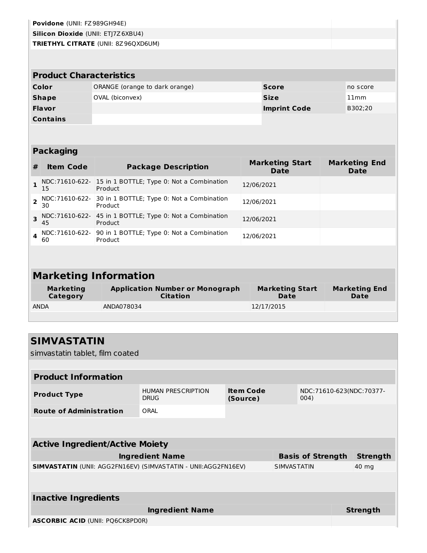| Povidone (UNII: FZ989GH94E)                                    |                                     |                 |                                                           |  |                       |                                       |                 |                                     |
|----------------------------------------------------------------|-------------------------------------|-----------------|-----------------------------------------------------------|--|-----------------------|---------------------------------------|-----------------|-------------------------------------|
| Silicon Dioxide (UNII: ETJ7Z6XBU4)                             |                                     |                 |                                                           |  |                       |                                       |                 |                                     |
| TRIETHYL CITRATE (UNII: 8Z96QXD6UM)                            |                                     |                 |                                                           |  |                       |                                       |                 |                                     |
|                                                                |                                     |                 |                                                           |  |                       |                                       |                 |                                     |
|                                                                | <b>Product Characteristics</b>      |                 |                                                           |  |                       |                                       |                 |                                     |
|                                                                | Color                               |                 | ORANGE (orange to dark orange)                            |  |                       | <b>Score</b>                          |                 | no score                            |
|                                                                | <b>Shape</b>                        | OVAL (biconvex) |                                                           |  |                       | <b>Size</b>                           |                 | 11mm                                |
|                                                                | <b>Flavor</b>                       |                 |                                                           |  |                       | <b>Imprint Code</b>                   |                 | B302;20                             |
|                                                                | <b>Contains</b>                     |                 |                                                           |  |                       |                                       |                 |                                     |
|                                                                |                                     |                 |                                                           |  |                       |                                       |                 |                                     |
|                                                                |                                     |                 |                                                           |  |                       |                                       |                 |                                     |
|                                                                | <b>Packaging</b>                    |                 |                                                           |  |                       |                                       |                 |                                     |
| #                                                              | <b>Item Code</b>                    |                 | <b>Package Description</b>                                |  |                       | <b>Marketing Start</b><br><b>Date</b> |                 | <b>Marketing End</b><br><b>Date</b> |
| $\mathbf{1}$                                                   | 15                                  | Product         | NDC:71610-622- 15 in 1 BOTTLE; Type 0: Not a Combination  |  | 12/06/2021            |                                       |                 |                                     |
| $\overline{2}$                                                 | NDC:71610-622-<br>30                | Product         | 30 in 1 BOTTLE; Type 0: Not a Combination                 |  | 12/06/2021            |                                       |                 |                                     |
| $\overline{\mathbf{3}}$                                        | 45                                  | Product         | NDC:71610-622- 45 in 1 BOTTLE; Type 0: Not a Combination  |  | 12/06/2021            |                                       |                 |                                     |
| 4                                                              | NDC:71610-622-<br>60                | Product         | 90 in 1 BOTTLE; Type 0: Not a Combination                 |  | 12/06/2021            |                                       |                 |                                     |
|                                                                |                                     |                 |                                                           |  |                       |                                       |                 |                                     |
|                                                                |                                     |                 |                                                           |  |                       |                                       |                 |                                     |
|                                                                | <b>Marketing Information</b>        |                 |                                                           |  |                       |                                       |                 |                                     |
|                                                                | <b>Marketing</b><br><b>Category</b> |                 | <b>Application Number or Monograph</b><br><b>Citation</b> |  |                       | <b>Marketing Start</b><br>Date        |                 | <b>Marketing End</b><br>Date        |
| <b>ANDA</b>                                                    |                                     | ANDA078034      |                                                           |  |                       | 12/17/2015                            |                 |                                     |
|                                                                |                                     |                 |                                                           |  |                       |                                       |                 |                                     |
|                                                                |                                     |                 |                                                           |  |                       |                                       |                 |                                     |
|                                                                | <b>SIMVASTATIN</b>                  |                 |                                                           |  |                       |                                       |                 |                                     |
|                                                                | simvastatin tablet, film coated     |                 |                                                           |  |                       |                                       |                 |                                     |
|                                                                |                                     |                 |                                                           |  |                       |                                       |                 |                                     |
|                                                                | <b>Product Information</b>          |                 |                                                           |  |                       |                                       |                 |                                     |
|                                                                | <b>Product Type</b>                 |                 | <b>HUMAN PRESCRIPTION</b><br><b>DRUG</b>                  |  | Item Code<br>(Source) |                                       | 004)            | NDC:71610-623(NDC:70377-            |
|                                                                | <b>Route of Administration</b>      |                 | ORAL                                                      |  |                       |                                       |                 |                                     |
|                                                                |                                     |                 |                                                           |  |                       |                                       |                 |                                     |
|                                                                |                                     |                 |                                                           |  |                       |                                       |                 |                                     |
| <b>Active Ingredient/Active Moiety</b>                         |                                     |                 |                                                           |  |                       |                                       |                 |                                     |
| <b>Ingredient Name</b>                                         |                                     |                 |                                                           |  |                       | <b>Basis of Strength</b>              | <b>Strength</b> |                                     |
| SIMVASTATIN (UNII: AGG2FN16EV) (SIMVASTATIN - UNII:AGG2FN16EV) |                                     |                 |                                                           |  |                       | <b>SIMVASTATIN</b>                    |                 | 40 mg                               |
|                                                                | <b>Inactive Ingredients</b>         |                 |                                                           |  |                       |                                       |                 |                                     |
|                                                                |                                     |                 | <b>Ingredient Name</b>                                    |  |                       |                                       |                 | <b>Strength</b>                     |
|                                                                |                                     |                 |                                                           |  |                       |                                       |                 |                                     |

**ASCORBIC ACID** (UNII: PQ6CK8PD0R)